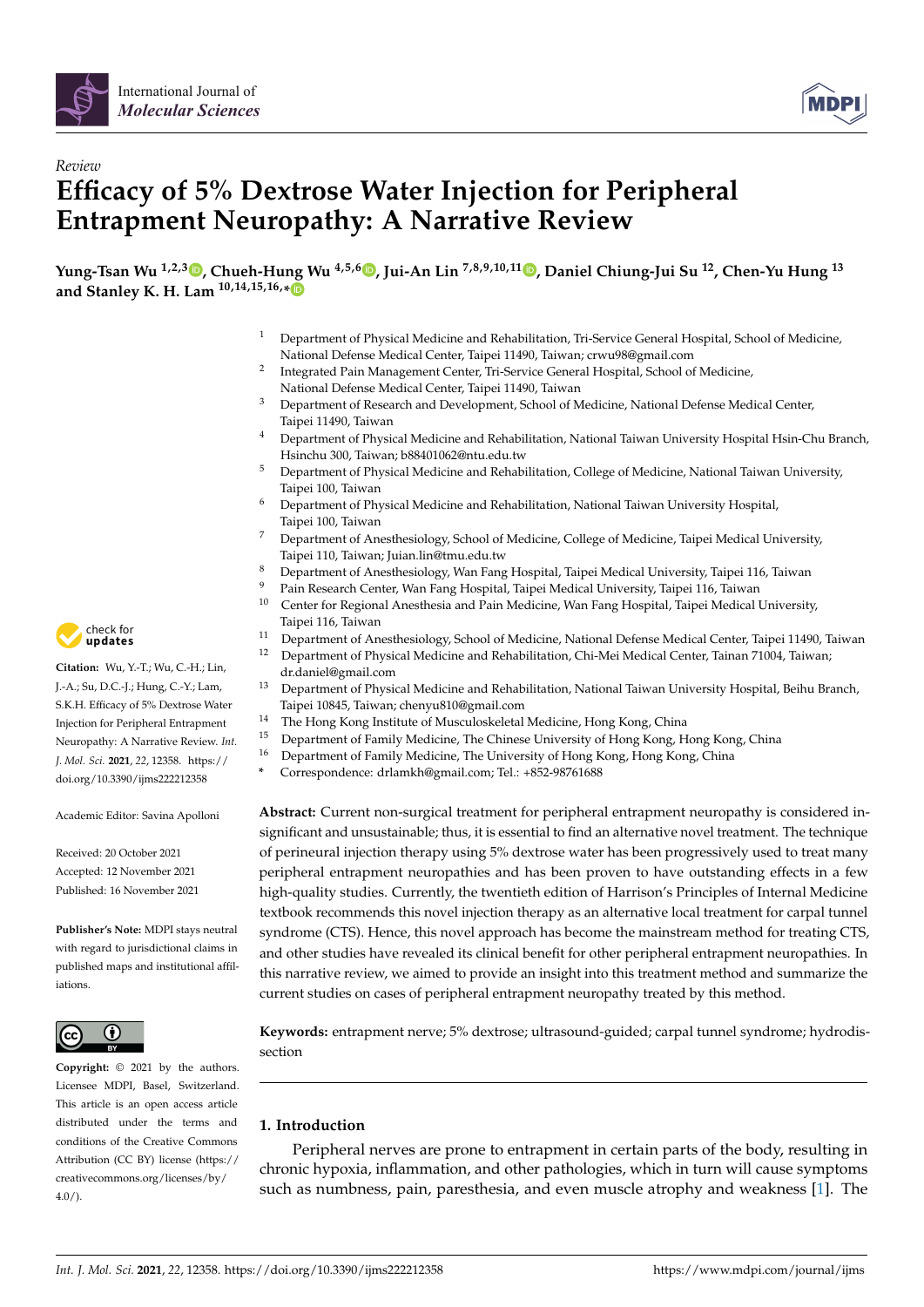



# *Review* **Efficacy of 5% Dextrose Water Injection for Peripheral Entrapment Neuropathy: A Narrative Review**

**Yung-Tsan Wu 1,2,3 [,](https://orcid.org/0000-0003-1175-7909) Chueh-Hung Wu 4,5,[6](https://orcid.org/0000-0002-3979-3541) , Jui-An Lin 7,8,9,10,11 [,](https://orcid.org/0000-0003-0855-4828) Daniel Chiung-Jui Su <sup>12</sup>, Chen-Yu Hung <sup>13</sup> and Stanley K. H. Lam 10,14,15,16,[\\*](https://orcid.org/0000-0003-1392-829X)**

- <sup>1</sup> Department of Physical Medicine and Rehabilitation, Tri-Service General Hospital, School of Medicine, National Defense Medical Center, Taipei 11490, Taiwan; crwu98@gmail.com
- 2 Integrated Pain Management Center, Tri-Service General Hospital, School of Medicine, National Defense Medical Center, Taipei 11490, Taiwan
- <sup>3</sup> Department of Research and Development, School of Medicine, National Defense Medical Center, Taipei 11490, Taiwan
- <sup>4</sup> Department of Physical Medicine and Rehabilitation, National Taiwan University Hospital Hsin-Chu Branch, Hsinchu 300, Taiwan; b88401062@ntu.edu.tw
- <sup>5</sup> Department of Physical Medicine and Rehabilitation, College of Medicine, National Taiwan University, Taipei 100, Taiwan
- <sup>6</sup> Department of Physical Medicine and Rehabilitation, National Taiwan University Hospital, Taipei 100, Taiwan
- <sup>7</sup> Department of Anesthesiology, School of Medicine, College of Medicine, Taipei Medical University, Taipei 110, Taiwan; Juian.lin@tmu.edu.tw
- <sup>8</sup> Department of Anesthesiology, Wan Fang Hospital, Taipei Medical University, Taipei 116, Taiwan
- <sup>9</sup> Pain Research Center, Wan Fang Hospital, Taipei Medical University, Taipei 116, Taiwan<br><sup>10</sup> Center for Regional Anosthosia and Pain Medicine, Wan Fang Hospital, Taipei Medical I
- <sup>10</sup> Center for Regional Anesthesia and Pain Medicine, Wan Fang Hospital, Taipei Medical University, Taipei 116, Taiwan
- <sup>11</sup> Department of Anesthesiology, School of Medicine, National Defense Medical Center, Taipei 11490, Taiwan:<br><sup>12</sup> Department of Physical Medicine and Rehabilitation. Chi-Mei Medical Center, Taipan 71004, Taiwan:
- <sup>12</sup> Department of Physical Medicine and Rehabilitation, Chi-Mei Medical Center, Tainan 71004, Taiwan; dr.daniel@gmail.com
- <sup>13</sup> Department of Physical Medicine and Rehabilitation, National Taiwan University Hospital, Beihu Branch, Taipei 10845, Taiwan; chenyu810@gmail.com
- <sup>14</sup> The Hong Kong Institute of Musculoskeletal Medicine, Hong Kong, China<br><sup>15</sup> Department of Eamily Medicine, The Chinese University of Hong Kong, H
- <sup>15</sup> Department of Family Medicine, The Chinese University of Hong Kong, Hong Kong, China
- <sup>16</sup> Department of Family Medicine, The University of Hong Kong, Hong Kong, China
	- **\*** Correspondence: drlamkh@gmail.com; Tel.: +852-98761688

**Abstract:** Current non-surgical treatment for peripheral entrapment neuropathy is considered insignificant and unsustainable; thus, it is essential to find an alternative novel treatment. The technique of perineural injection therapy using 5% dextrose water has been progressively used to treat many peripheral entrapment neuropathies and has been proven to have outstanding effects in a few high-quality studies. Currently, the twentieth edition of Harrison's Principles of Internal Medicine textbook recommends this novel injection therapy as an alternative local treatment for carpal tunnel syndrome (CTS). Hence, this novel approach has become the mainstream method for treating CTS, and other studies have revealed its clinical benefit for other peripheral entrapment neuropathies. In this narrative review, we aimed to provide an insight into this treatment method and summarize the current studies on cases of peripheral entrapment neuropathy treated by this method.

**Keywords:** entrapment nerve; 5% dextrose; ultrasound-guided; carpal tunnel syndrome; hydrodissection

# **1. Introduction**

Peripheral nerves are prone to entrapment in certain parts of the body, resulting in chronic hypoxia, inflammation, and other pathologies, which in turn will cause symptoms such as numbness, pain, paresthesia, and even muscle atrophy and weakness [\[1\]](#page-9-0). The



**Citation:** Wu, Y.-T.; Wu, C.-H.; Lin, J.-A.; Su, D.C.-J.; Hung, C.-Y.; Lam, S.K.H. Efficacy of 5% Dextrose Water Injection for Peripheral Entrapment Neuropathy: A Narrative Review. *Int. J. Mol. Sci.* **2021**, *22*, 12358. [https://](https://doi.org/10.3390/ijms222212358) [doi.org/10.3390/ijms222212358](https://doi.org/10.3390/ijms222212358)

Academic Editor: Savina Apolloni

Received: 20 October 2021 Accepted: 12 November 2021 Published: 16 November 2021

**Publisher's Note:** MDPI stays neutral with regard to jurisdictional claims in published maps and institutional affiliations.



**Copyright:** © 2021 by the authors. Licensee MDPI, Basel, Switzerland. This article is an open access article distributed under the terms and conditions of the Creative Commons Attribution (CC BY) license (https:/[/](https://creativecommons.org/licenses/by/4.0/) [creativecommons.org/licenses/by/](https://creativecommons.org/licenses/by/4.0/)  $4.0/$ ).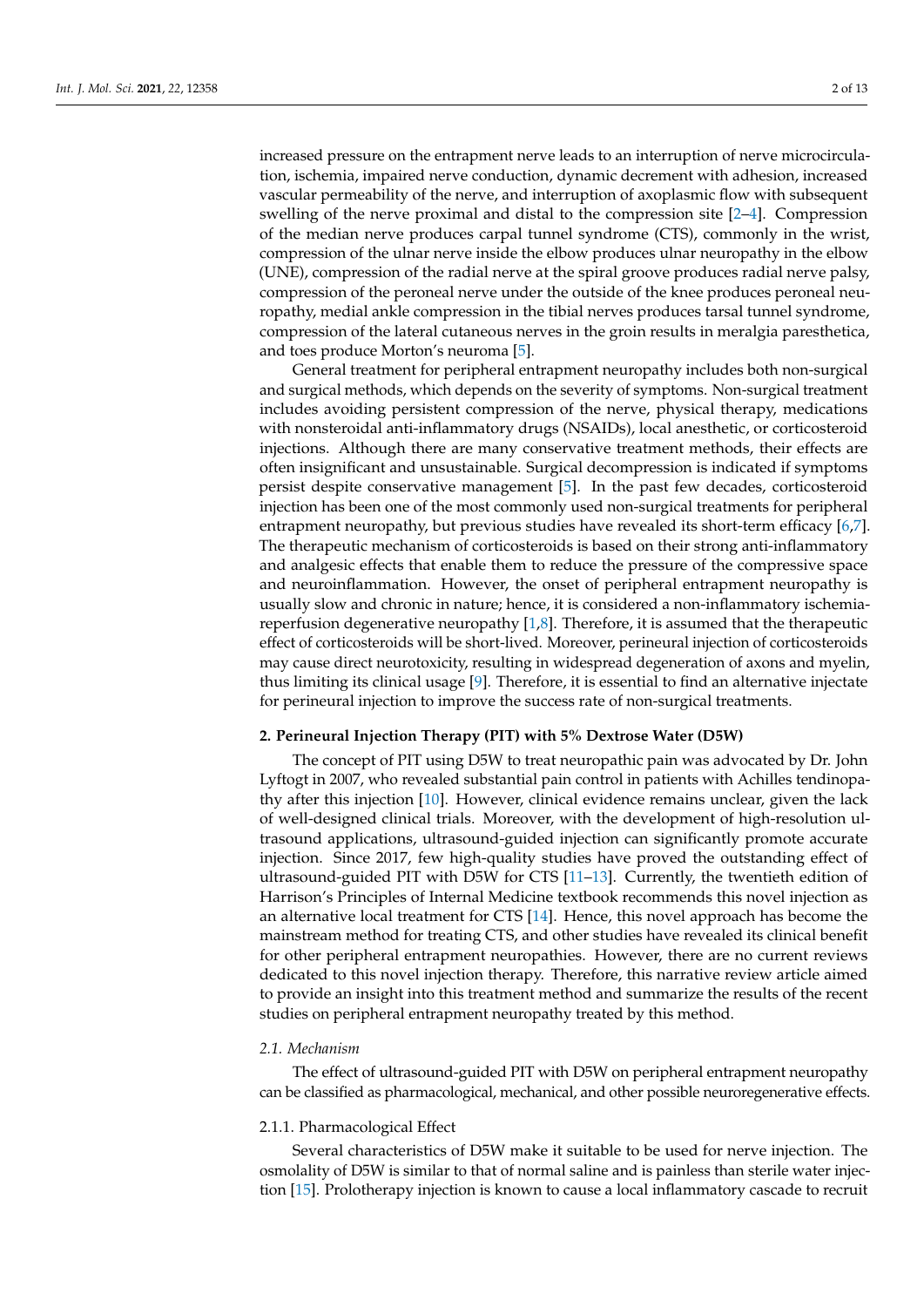increased pressure on the entrapment nerve leads to an interruption of nerve microcirculation, ischemia, impaired nerve conduction, dynamic decrement with adhesion, increased vascular permeability of the nerve, and interruption of axoplasmic flow with subsequent swelling of the nerve proximal and distal to the compression site [\[2–](#page-9-1)[4\]](#page-9-2). Compression of the median nerve produces carpal tunnel syndrome (CTS), commonly in the wrist, compression of the ulnar nerve inside the elbow produces ulnar neuropathy in the elbow (UNE), compression of the radial nerve at the spiral groove produces radial nerve palsy, compression of the peroneal nerve under the outside of the knee produces peroneal neuropathy, medial ankle compression in the tibial nerves produces tarsal tunnel syndrome, compression of the lateral cutaneous nerves in the groin results in meralgia paresthetica, and toes produce Morton's neuroma [\[5\]](#page-9-3).

General treatment for peripheral entrapment neuropathy includes both non-surgical and surgical methods, which depends on the severity of symptoms. Non-surgical treatment includes avoiding persistent compression of the nerve, physical therapy, medications with nonsteroidal anti-inflammatory drugs (NSAIDs), local anesthetic, or corticosteroid injections. Although there are many conservative treatment methods, their effects are often insignificant and unsustainable. Surgical decompression is indicated if symptoms persist despite conservative management [\[5\]](#page-9-3). In the past few decades, corticosteroid injection has been one of the most commonly used non-surgical treatments for peripheral entrapment neuropathy, but previous studies have revealed its short-term efficacy [\[6,](#page-9-4)[7\]](#page-10-0). The therapeutic mechanism of corticosteroids is based on their strong anti-inflammatory and analgesic effects that enable them to reduce the pressure of the compressive space and neuroinflammation. However, the onset of peripheral entrapment neuropathy is usually slow and chronic in nature; hence, it is considered a non-inflammatory ischemiareperfusion degenerative neuropathy [\[1,](#page-9-0)[8\]](#page-10-1). Therefore, it is assumed that the therapeutic effect of corticosteroids will be short-lived. Moreover, perineural injection of corticosteroids may cause direct neurotoxicity, resulting in widespread degeneration of axons and myelin, thus limiting its clinical usage [\[9\]](#page-10-2). Therefore, it is essential to find an alternative injectate for perineural injection to improve the success rate of non-surgical treatments.

## **2. Perineural Injection Therapy (PIT) with 5% Dextrose Water (D5W)**

The concept of PIT using D5W to treat neuropathic pain was advocated by Dr. John Lyftogt in 2007, who revealed substantial pain control in patients with Achilles tendinopathy after this injection [\[10\]](#page-10-3). However, clinical evidence remains unclear, given the lack of well-designed clinical trials. Moreover, with the development of high-resolution ultrasound applications, ultrasound-guided injection can significantly promote accurate injection. Since 2017, few high-quality studies have proved the outstanding effect of ultrasound-guided PIT with D5W for CTS [\[11–](#page-10-4)[13\]](#page-10-5). Currently, the twentieth edition of Harrison's Principles of Internal Medicine textbook recommends this novel injection as an alternative local treatment for CTS [\[14\]](#page-10-6). Hence, this novel approach has become the mainstream method for treating CTS, and other studies have revealed its clinical benefit for other peripheral entrapment neuropathies. However, there are no current reviews dedicated to this novel injection therapy. Therefore, this narrative review article aimed to provide an insight into this treatment method and summarize the results of the recent studies on peripheral entrapment neuropathy treated by this method.

#### *2.1. Mechanism*

The effect of ultrasound-guided PIT with D5W on peripheral entrapment neuropathy can be classified as pharmacological, mechanical, and other possible neuroregenerative effects.

## 2.1.1. Pharmacological Effect

Several characteristics of D5W make it suitable to be used for nerve injection. The osmolality of D5W is similar to that of normal saline and is painless than sterile water injection [\[15\]](#page-10-7). Prolotherapy injection is known to cause a local inflammatory cascade to recruit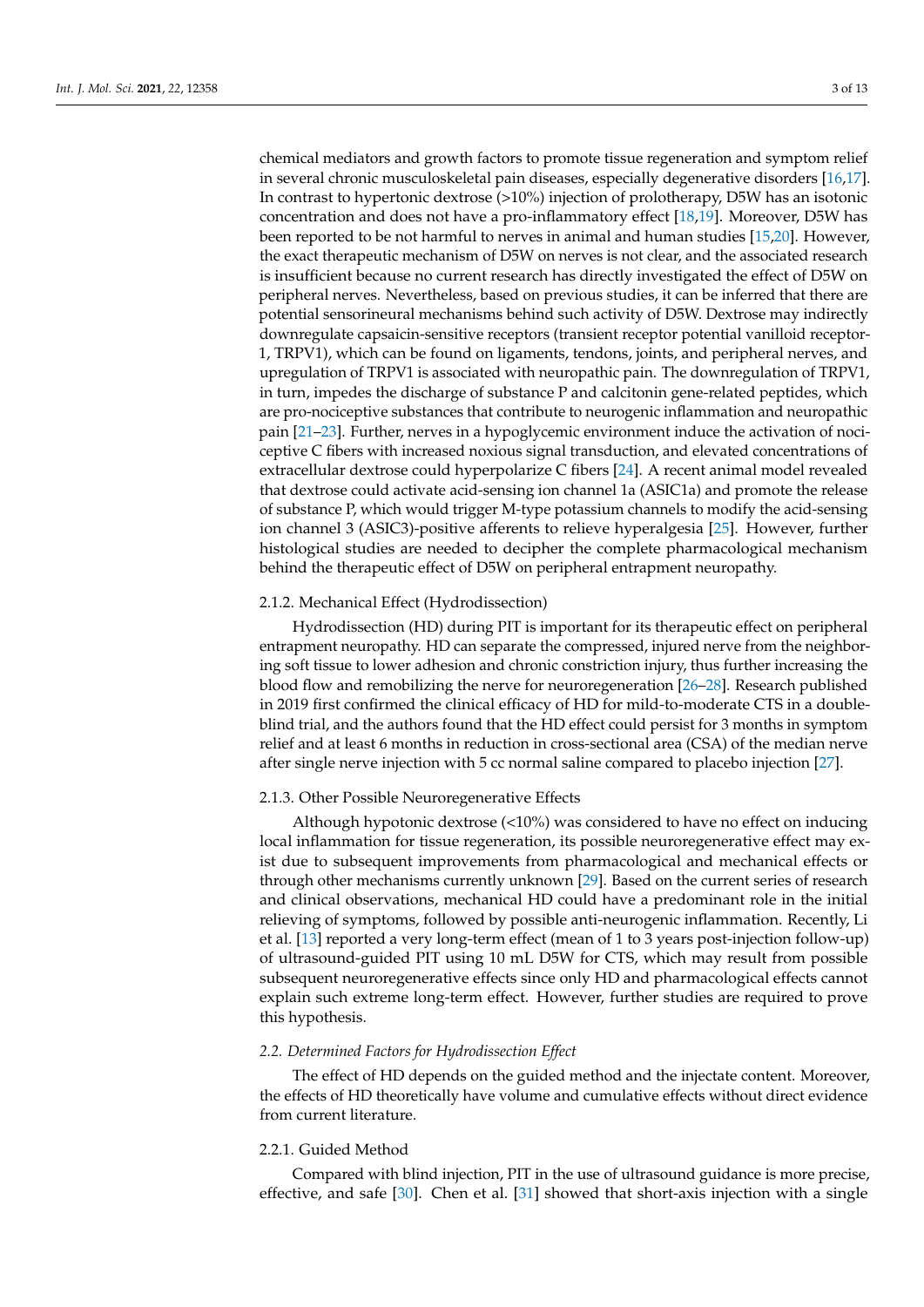chemical mediators and growth factors to promote tissue regeneration and symptom relief in several chronic musculoskeletal pain diseases, especially degenerative disorders [\[16](#page-10-8)[,17\]](#page-10-9). In contrast to hypertonic dextrose (>10%) injection of prolotherapy, D5W has an isotonic concentration and does not have a pro-inflammatory effect [\[18,](#page-10-10)[19\]](#page-10-11). Moreover, D5W has been reported to be not harmful to nerves in animal and human studies [\[15](#page-10-7)[,20\]](#page-10-12). However, the exact therapeutic mechanism of D5W on nerves is not clear, and the associated research is insufficient because no current research has directly investigated the effect of D5W on peripheral nerves. Nevertheless, based on previous studies, it can be inferred that there are potential sensorineural mechanisms behind such activity of D5W. Dextrose may indirectly downregulate capsaicin-sensitive receptors (transient receptor potential vanilloid receptor-1, TRPV1), which can be found on ligaments, tendons, joints, and peripheral nerves, and upregulation of TRPV1 is associated with neuropathic pain. The downregulation of TRPV1, in turn, impedes the discharge of substance P and calcitonin gene-related peptides, which are pro-nociceptive substances that contribute to neurogenic inflammation and neuropathic pain [\[21](#page-10-13)[–23\]](#page-10-14). Further, nerves in a hypoglycemic environment induce the activation of nociceptive C fibers with increased noxious signal transduction, and elevated concentrations of extracellular dextrose could hyperpolarize C fibers [\[24\]](#page-10-15). A recent animal model revealed that dextrose could activate acid-sensing ion channel 1a (ASIC1a) and promote the release of substance P, which would trigger M-type potassium channels to modify the acid-sensing ion channel 3 (ASIC3)-positive afferents to relieve hyperalgesia [\[25\]](#page-10-16). However, further histological studies are needed to decipher the complete pharmacological mechanism behind the therapeutic effect of D5W on peripheral entrapment neuropathy.

#### 2.1.2. Mechanical Effect (Hydrodissection)

Hydrodissection (HD) during PIT is important for its therapeutic effect on peripheral entrapment neuropathy. HD can separate the compressed, injured nerve from the neighboring soft tissue to lower adhesion and chronic constriction injury, thus further increasing the blood flow and remobilizing the nerve for neuroregeneration [\[26–](#page-10-17)[28\]](#page-10-18). Research published in 2019 first confirmed the clinical efficacy of HD for mild-to-moderate CTS in a doubleblind trial, and the authors found that the HD effect could persist for 3 months in symptom relief and at least 6 months in reduction in cross-sectional area (CSA) of the median nerve after single nerve injection with 5 cc normal saline compared to placebo injection [\[27\]](#page-10-19).

#### 2.1.3. Other Possible Neuroregenerative Effects

Although hypotonic dextrose (<10%) was considered to have no effect on inducing local inflammation for tissue regeneration, its possible neuroregenerative effect may exist due to subsequent improvements from pharmacological and mechanical effects or through other mechanisms currently unknown [\[29\]](#page-10-20). Based on the current series of research and clinical observations, mechanical HD could have a predominant role in the initial relieving of symptoms, followed by possible anti-neurogenic inflammation. Recently, Li et al. [\[13\]](#page-10-5) reported a very long-term effect (mean of 1 to 3 years post-injection follow-up) of ultrasound-guided PIT using 10 mL D5W for CTS, which may result from possible subsequent neuroregenerative effects since only HD and pharmacological effects cannot explain such extreme long-term effect. However, further studies are required to prove this hypothesis.

# *2.2. Determined Factors for Hydrodissection Effect*

The effect of HD depends on the guided method and the injectate content. Moreover, the effects of HD theoretically have volume and cumulative effects without direct evidence from current literature.

# 2.2.1. Guided Method

Compared with blind injection, PIT in the use of ultrasound guidance is more precise, effective, and safe [\[30\]](#page-10-21). Chen et al. [\[31\]](#page-10-22) showed that short-axis injection with a single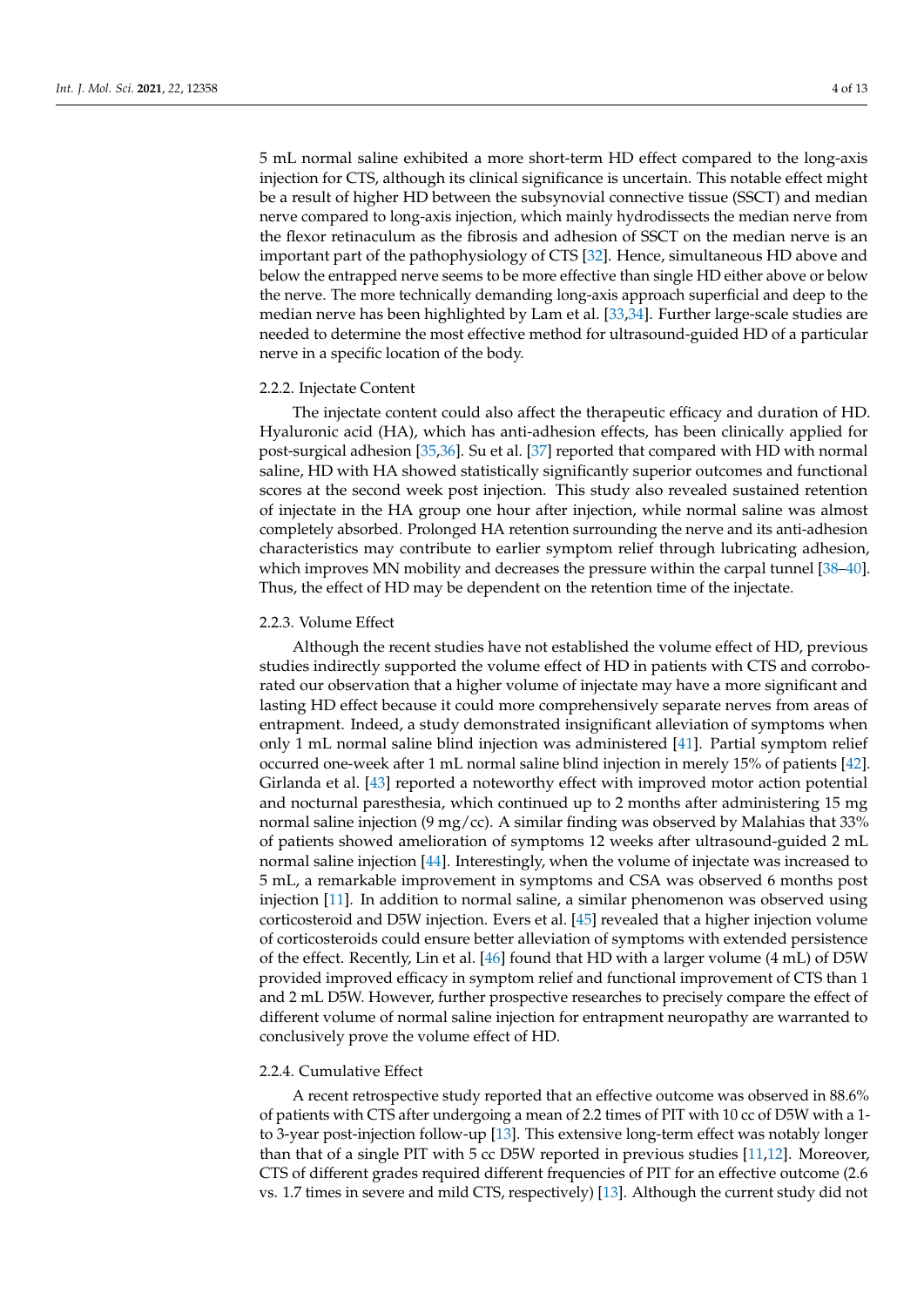5 mL normal saline exhibited a more short-term HD effect compared to the long-axis injection for CTS, although its clinical significance is uncertain. This notable effect might be a result of higher HD between the subsynovial connective tissue (SSCT) and median nerve compared to long-axis injection, which mainly hydrodissects the median nerve from the flexor retinaculum as the fibrosis and adhesion of SSCT on the median nerve is an important part of the pathophysiology of CTS [\[32\]](#page-10-23). Hence, simultaneous HD above and below the entrapped nerve seems to be more effective than single HD either above or below the nerve. The more technically demanding long-axis approach superficial and deep to the median nerve has been highlighted by Lam et al. [\[33](#page-11-0)[,34\]](#page-11-1). Further large-scale studies are needed to determine the most effective method for ultrasound-guided HD of a particular nerve in a specific location of the body.

#### 2.2.2. Injectate Content

The injectate content could also affect the therapeutic efficacy and duration of HD. Hyaluronic acid (HA), which has anti-adhesion effects, has been clinically applied for post-surgical adhesion [\[35,](#page-11-2)[36\]](#page-11-3). Su et al. [\[37\]](#page-11-4) reported that compared with HD with normal saline, HD with HA showed statistically significantly superior outcomes and functional scores at the second week post injection. This study also revealed sustained retention of injectate in the HA group one hour after injection, while normal saline was almost completely absorbed. Prolonged HA retention surrounding the nerve and its anti-adhesion characteristics may contribute to earlier symptom relief through lubricating adhesion, which improves MN mobility and decreases the pressure within the carpal tunnel [\[38](#page-11-5)[–40\]](#page-11-6). Thus, the effect of HD may be dependent on the retention time of the injectate.

#### 2.2.3. Volume Effect

Although the recent studies have not established the volume effect of HD, previous studies indirectly supported the volume effect of HD in patients with CTS and corroborated our observation that a higher volume of injectate may have a more significant and lasting HD effect because it could more comprehensively separate nerves from areas of entrapment. Indeed, a study demonstrated insignificant alleviation of symptoms when only 1 mL normal saline blind injection was administered [\[41\]](#page-11-7). Partial symptom relief occurred one-week after 1 mL normal saline blind injection in merely 15% of patients [\[42\]](#page-11-8). Girlanda et al. [\[43\]](#page-11-9) reported a noteworthy effect with improved motor action potential and nocturnal paresthesia, which continued up to 2 months after administering 15 mg normal saline injection (9 mg/cc). A similar finding was observed by Malahias that 33% of patients showed amelioration of symptoms 12 weeks after ultrasound-guided 2 mL normal saline injection [\[44\]](#page-11-10). Interestingly, when the volume of injectate was increased to 5 mL, a remarkable improvement in symptoms and CSA was observed 6 months post injection [\[11\]](#page-10-4). In addition to normal saline, a similar phenomenon was observed using corticosteroid and D5W injection. Evers et al. [\[45\]](#page-11-11) revealed that a higher injection volume of corticosteroids could ensure better alleviation of symptoms with extended persistence of the effect. Recently, Lin et al. [\[46\]](#page-11-12) found that HD with a larger volume (4 mL) of D5W provided improved efficacy in symptom relief and functional improvement of CTS than 1 and 2 mL D5W. However, further prospective researches to precisely compare the effect of different volume of normal saline injection for entrapment neuropathy are warranted to conclusively prove the volume effect of HD.

#### 2.2.4. Cumulative Effect

A recent retrospective study reported that an effective outcome was observed in 88.6% of patients with CTS after undergoing a mean of 2.2 times of PIT with 10 cc of D5W with a 1 to 3-year post-injection follow-up [\[13\]](#page-10-5). This extensive long-term effect was notably longer than that of a single PIT with 5 cc D5W reported in previous studies [\[11,](#page-10-4)[12\]](#page-10-24). Moreover, CTS of different grades required different frequencies of PIT for an effective outcome (2.6 vs. 1.7 times in severe and mild CTS, respectively) [\[13\]](#page-10-5). Although the current study did not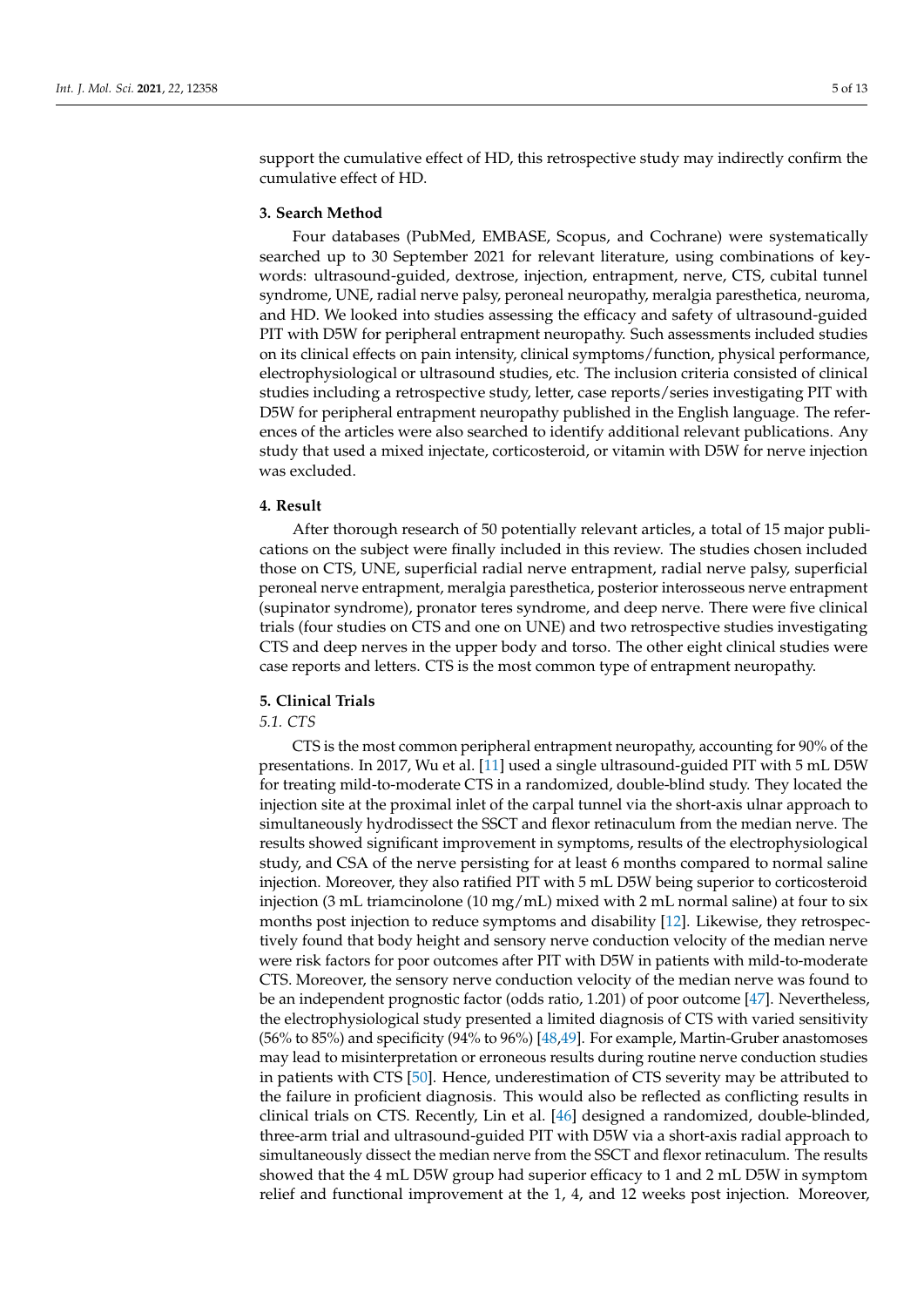support the cumulative effect of HD, this retrospective study may indirectly confirm the cumulative effect of HD.

# **3. Search Method**

Four databases (PubMed, EMBASE, Scopus, and Cochrane) were systematically searched up to 30 September 2021 for relevant literature, using combinations of keywords: ultrasound-guided, dextrose, injection, entrapment, nerve, CTS, cubital tunnel syndrome, UNE, radial nerve palsy, peroneal neuropathy, meralgia paresthetica, neuroma, and HD. We looked into studies assessing the efficacy and safety of ultrasound-guided PIT with D5W for peripheral entrapment neuropathy. Such assessments included studies on its clinical effects on pain intensity, clinical symptoms/function, physical performance, electrophysiological or ultrasound studies, etc. The inclusion criteria consisted of clinical studies including a retrospective study, letter, case reports/series investigating PIT with D5W for peripheral entrapment neuropathy published in the English language. The references of the articles were also searched to identify additional relevant publications. Any study that used a mixed injectate, corticosteroid, or vitamin with D5W for nerve injection was excluded.

#### **4. Result**

After thorough research of 50 potentially relevant articles, a total of 15 major publications on the subject were finally included in this review. The studies chosen included those on CTS, UNE, superficial radial nerve entrapment, radial nerve palsy, superficial peroneal nerve entrapment, meralgia paresthetica, posterior interosseous nerve entrapment (supinator syndrome), pronator teres syndrome, and deep nerve. There were five clinical trials (four studies on CTS and one on UNE) and two retrospective studies investigating CTS and deep nerves in the upper body and torso. The other eight clinical studies were case reports and letters. CTS is the most common type of entrapment neuropathy.

# **5. Clinical Trials**

#### *5.1. CTS*

CTS is the most common peripheral entrapment neuropathy, accounting for 90% of the presentations. In 2017, Wu et al. [\[11\]](#page-10-4) used a single ultrasound-guided PIT with 5 mL D5W for treating mild-to-moderate CTS in a randomized, double-blind study. They located the injection site at the proximal inlet of the carpal tunnel via the short-axis ulnar approach to simultaneously hydrodissect the SSCT and flexor retinaculum from the median nerve. The results showed significant improvement in symptoms, results of the electrophysiological study, and CSA of the nerve persisting for at least 6 months compared to normal saline injection. Moreover, they also ratified PIT with 5 mL D5W being superior to corticosteroid injection (3 mL triamcinolone (10 mg/mL) mixed with 2 mL normal saline) at four to six months post injection to reduce symptoms and disability [\[12\]](#page-10-24). Likewise, they retrospectively found that body height and sensory nerve conduction velocity of the median nerve were risk factors for poor outcomes after PIT with D5W in patients with mild-to-moderate CTS. Moreover, the sensory nerve conduction velocity of the median nerve was found to be an independent prognostic factor (odds ratio, 1.201) of poor outcome [\[47\]](#page-11-13). Nevertheless, the electrophysiological study presented a limited diagnosis of CTS with varied sensitivity (56% to 85%) and specificity (94% to 96%) [\[48,](#page-11-14)[49\]](#page-11-15). For example, Martin-Gruber anastomoses may lead to misinterpretation or erroneous results during routine nerve conduction studies in patients with CTS [\[50\]](#page-11-16). Hence, underestimation of CTS severity may be attributed to the failure in proficient diagnosis. This would also be reflected as conflicting results in clinical trials on CTS. Recently, Lin et al. [\[46\]](#page-11-12) designed a randomized, double-blinded, three-arm trial and ultrasound-guided PIT with D5W via a short-axis radial approach to simultaneously dissect the median nerve from the SSCT and flexor retinaculum. The results showed that the 4 mL D5W group had superior efficacy to 1 and 2 mL D5W in symptom relief and functional improvement at the 1, 4, and 12 weeks post injection. Moreover,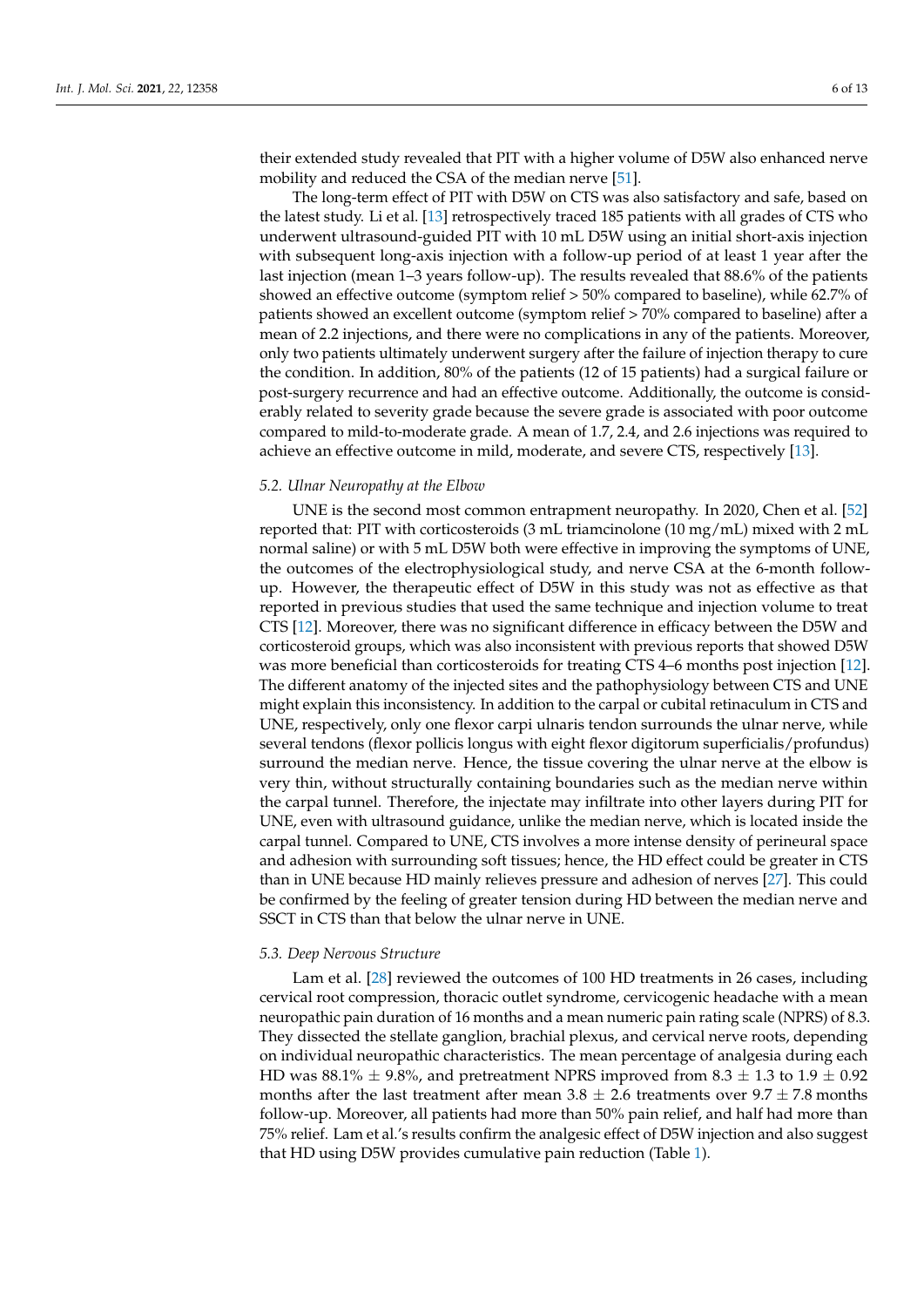their extended study revealed that PIT with a higher volume of D5W also enhanced nerve mobility and reduced the CSA of the median nerve [\[51\]](#page-11-17).

The long-term effect of PIT with D5W on CTS was also satisfactory and safe, based on the latest study. Li et al. [\[13\]](#page-10-5) retrospectively traced 185 patients with all grades of CTS who underwent ultrasound-guided PIT with 10 mL D5W using an initial short-axis injection with subsequent long-axis injection with a follow-up period of at least 1 year after the last injection (mean 1–3 years follow-up). The results revealed that 88.6% of the patients showed an effective outcome (symptom relief > 50% compared to baseline), while 62.7% of patients showed an excellent outcome (symptom relief > 70% compared to baseline) after a mean of 2.2 injections, and there were no complications in any of the patients. Moreover, only two patients ultimately underwent surgery after the failure of injection therapy to cure the condition. In addition, 80% of the patients (12 of 15 patients) had a surgical failure or post-surgery recurrence and had an effective outcome. Additionally, the outcome is considerably related to severity grade because the severe grade is associated with poor outcome compared to mild-to-moderate grade. A mean of 1.7, 2.4, and 2.6 injections was required to achieve an effective outcome in mild, moderate, and severe CTS, respectively [\[13\]](#page-10-5).

#### *5.2. Ulnar Neuropathy at the Elbow*

UNE is the second most common entrapment neuropathy. In 2020, Chen et al. [\[52\]](#page-11-18) reported that: PIT with corticosteroids (3 mL triamcinolone (10 mg/mL) mixed with 2 mL normal saline) or with 5 mL D5W both were effective in improving the symptoms of UNE, the outcomes of the electrophysiological study, and nerve CSA at the 6-month followup. However, the therapeutic effect of D5W in this study was not as effective as that reported in previous studies that used the same technique and injection volume to treat CTS [\[12\]](#page-10-24). Moreover, there was no significant difference in efficacy between the D5W and corticosteroid groups, which was also inconsistent with previous reports that showed D5W was more beneficial than corticosteroids for treating CTS 4–6 months post injection [\[12\]](#page-10-24). The different anatomy of the injected sites and the pathophysiology between CTS and UNE might explain this inconsistency. In addition to the carpal or cubital retinaculum in CTS and UNE, respectively, only one flexor carpi ulnaris tendon surrounds the ulnar nerve, while several tendons (flexor pollicis longus with eight flexor digitorum superficialis/profundus) surround the median nerve. Hence, the tissue covering the ulnar nerve at the elbow is very thin, without structurally containing boundaries such as the median nerve within the carpal tunnel. Therefore, the injectate may infiltrate into other layers during PIT for UNE, even with ultrasound guidance, unlike the median nerve, which is located inside the carpal tunnel. Compared to UNE, CTS involves a more intense density of perineural space and adhesion with surrounding soft tissues; hence, the HD effect could be greater in CTS than in UNE because HD mainly relieves pressure and adhesion of nerves [\[27\]](#page-10-19). This could be confirmed by the feeling of greater tension during HD between the median nerve and SSCT in CTS than that below the ulnar nerve in UNE.

#### *5.3. Deep Nervous Structure*

Lam et al. [\[28\]](#page-10-18) reviewed the outcomes of 100 HD treatments in 26 cases, including cervical root compression, thoracic outlet syndrome, cervicogenic headache with a mean neuropathic pain duration of 16 months and a mean numeric pain rating scale (NPRS) of 8.3. They dissected the stellate ganglion, brachial plexus, and cervical nerve roots, depending on individual neuropathic characteristics. The mean percentage of analgesia during each HD was 88.1%  $\pm$  9.8%, and pretreatment NPRS improved from 8.3  $\pm$  1.3 to 1.9  $\pm$  0.92 months after the last treatment after mean  $3.8 \pm 2.6$  treatments over  $9.7 \pm 7.8$  months follow-up. Moreover, all patients had more than 50% pain relief, and half had more than 75% relief. Lam et al.'s results confirm the analgesic effect of D5W injection and also suggest that HD using D5W provides cumulative pain reduction (Table [1\)](#page-6-0).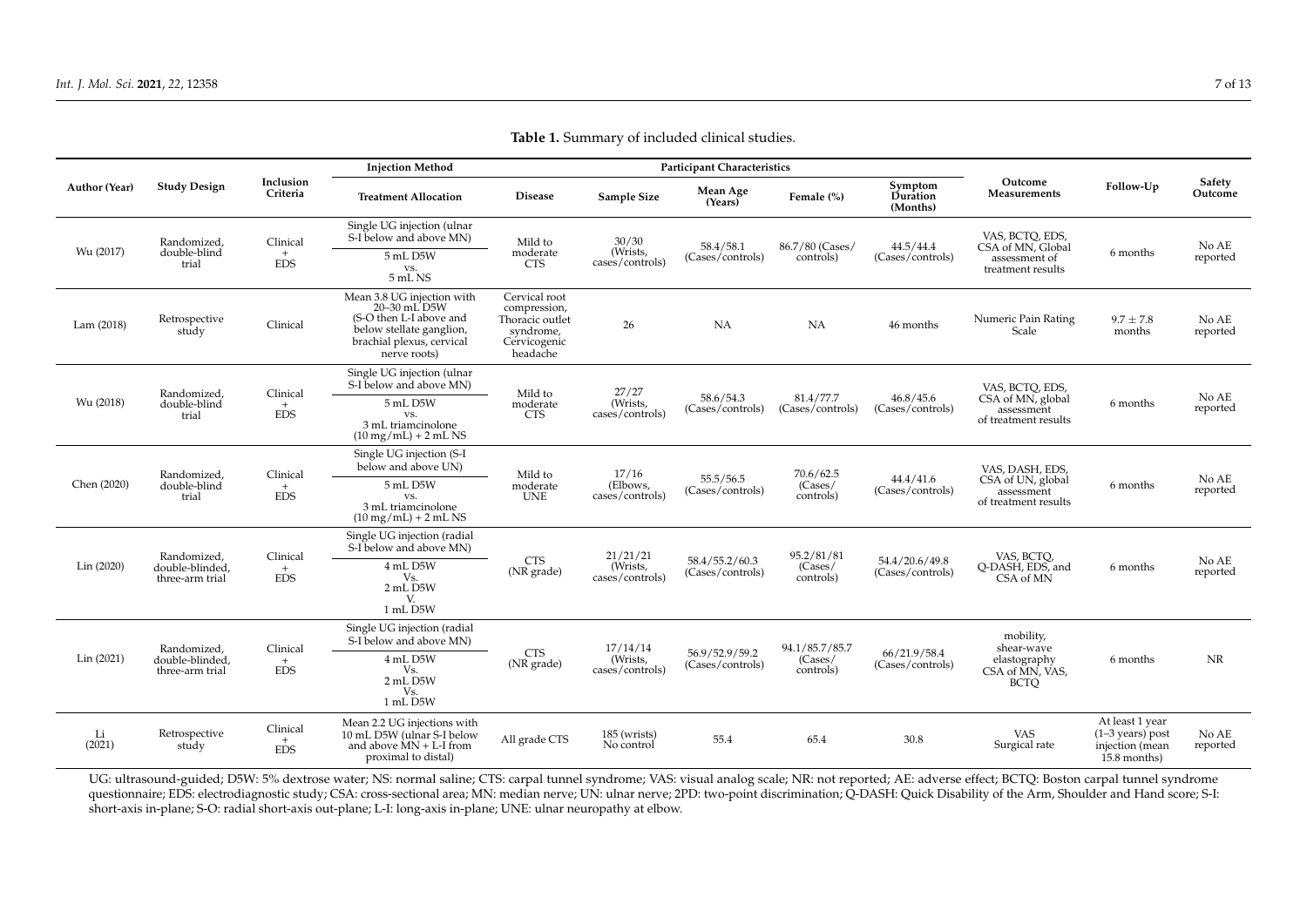| <b>Author (Year)</b> | <b>Study Design</b>                               | Inclusion<br>Criteria            | <b>Injection Method</b>                                                                                                                                       | <b>Participant Characteristics</b>                                                        |                                         |                                    |                                        |                                    |                                                                            |                                                                          |                   |
|----------------------|---------------------------------------------------|----------------------------------|---------------------------------------------------------------------------------------------------------------------------------------------------------------|-------------------------------------------------------------------------------------------|-----------------------------------------|------------------------------------|----------------------------------------|------------------------------------|----------------------------------------------------------------------------|--------------------------------------------------------------------------|-------------------|
|                      |                                                   |                                  | <b>Treatment Allocation</b>                                                                                                                                   | <b>Disease</b>                                                                            | Sample Size                             | Mean Age<br>(Years)                | Female (%)                             | Symptom<br>Duration<br>(Months)    | Outcome<br>Measurements                                                    | Follow-Up                                                                | Safety<br>Outcome |
| Wu (2017)            | Randomized<br>double-blind<br>trial               | Clinical<br>$+$<br><b>EDS</b>    | Single UG injection (ulnar<br>S-I below and above MN)                                                                                                         | Mild to<br>moderate<br><b>CTS</b>                                                         | 30/30<br>(Wrists,<br>cases/controls)    | 58.4/58.1<br>(Cases/controls)      | 86.7/80 (Cases/<br>controls)           | 44.5/44.4<br>(Cases/controls)      | VAS, BCTO, EDS,<br>CSA of MN, Global<br>assessment of<br>treatment results | 6 months                                                                 | No AE<br>reported |
|                      |                                                   |                                  | 5 mL D5W<br>VS.<br>5 mL NS                                                                                                                                    |                                                                                           |                                         |                                    |                                        |                                    |                                                                            |                                                                          |                   |
| Lam(2018)            | Retrospective<br>study                            | Clinical                         | Mean 3.8 UG injection with<br>$20-30$ mL $\overline{D5W}$<br>(S-O then L-I above and<br>below stellate ganglion,<br>brachial plexus, cervical<br>nerve roots) | Cervical root<br>compression,<br>Thoracic outlet<br>syndrome,<br>Cervicogenic<br>headache | 26                                      | NA                                 | <b>NA</b>                              | 46 months                          | Numeric Pain Rating<br>Scale                                               | $9.7 \pm 7.8$<br>months                                                  | No AE<br>reported |
| Wu (2018)            | Randomized.<br>double-blind<br>trial              | Clinical<br>$+$<br><b>EDS</b>    | Single UG injection (ulnar<br>S-I below and above MN)<br>5 mL D5W<br>VS.<br>3 mL triamcinolone<br>$(10 \text{ mg/mL}) + 2 \text{ mL NS}$                      | Mild to<br>moderate<br><b>CTS</b>                                                         | 27/27<br>(Wrists,<br>cases/controls)    | 58.6/54.3<br>(Cases/controls)      | 81.4/77.7<br>(Cases/controls)          | 46.8/45.6<br>(Cases/controls)      | VAS, BCTQ, EDS,<br>CSA of MN, global<br>assessment<br>of treatment results | 6 months                                                                 | No AE<br>reported |
| Chen (2020)          | Randomized,<br>double-blind<br>trial              | Clinical<br>$+$<br><b>EDS</b>    | Single UG injection (S-I<br>below and above UN)                                                                                                               | Mild to<br>moderate<br><b>UNE</b>                                                         | 17/16<br>(Elbows,<br>cases/controls)    | 55.5/56.5<br>(Cases/controls)      | 70.6/62.5<br>(Cases/<br>controls)      | 44.4/41.6<br>(Cases/controls)      | VAS, DASH, EDS,<br>CSA of UN, global<br>assessment<br>of treatment results | 6 months                                                                 | No AE<br>reported |
|                      |                                                   |                                  | 5 mL D5W<br>VS.<br>3 mL triamcinolone<br>$(10 \text{ mg/mL}) + 2 \text{ mL NS}$                                                                               |                                                                                           |                                         |                                    |                                        |                                    |                                                                            |                                                                          |                   |
| Lin (2020)           | Randomized,<br>double-blinded.<br>three-arm trial | Clinical<br>$+$<br><b>EDS</b>    | Single UG injection (radial<br>S-I below and above MN)                                                                                                        | <b>CTS</b><br>(NR grade)                                                                  | 21/21/21<br>(Wrists,<br>cases/controls) | 58.4/55.2/60.3<br>(Cases/controls) | 95.2/81/81<br>(Cases/<br>controls)     | 54.4/20.6/49.8<br>(Cases/controls) | VAS, BCTQ,<br>O-DASH, EDS, and<br>CSA of MN                                | 6 months                                                                 | No AE<br>reported |
|                      |                                                   |                                  | 4 mL D5W<br>Vs.<br>2 mL D5W<br>V.<br>1 mL D5W                                                                                                                 |                                                                                           |                                         |                                    |                                        |                                    |                                                                            |                                                                          |                   |
| Lin (2021)           | Randomized,<br>double-blinded,<br>three-arm trial | Clinical<br>$+$<br><b>EDS</b>    | Single UG injection (radial<br>S-I below and above MN)                                                                                                        | <b>CTS</b><br>(NR grade)                                                                  | 17/14/14<br>(Wrists,<br>cases/controls) | 56.9/52.9/59.2<br>(Cases/controls) | 94.1/85.7/85.7<br>(Cases/<br>controls) | 66/21.9/58.4<br>(Cases/controls)   | mobility,<br>shear-wave<br>elastography<br>CSA of MN, VAS,<br><b>BCTO</b>  | 6 months                                                                 | NR                |
|                      |                                                   |                                  | 4 mL D5W<br>Vs.<br>2 mL D5W<br>Vs.<br>1 mL D5W                                                                                                                |                                                                                           |                                         |                                    |                                        |                                    |                                                                            |                                                                          |                   |
| Li<br>(2021)         | Retrospective<br>study                            | Clinical<br>$^{+}$<br><b>EDS</b> | Mean 2.2 UG injections with<br>10 mL D5W (ulnar S-I below<br>and above $MN + L-I$ from<br>proximal to distal)                                                 | All grade CTS                                                                             | 185 (wrists)<br>No control              | 55.4                               | 65.4                                   | 30.8                               | <b>VAS</b><br>Surgical rate                                                | At least 1 year<br>$(1-3$ years) post<br>injection (mean<br>15.8 months) | No AE<br>reported |

**Table 1.** Summary of included clinical studies.

<span id="page-6-0"></span>UG: ultrasound-guided; D5W: 5% dextrose water; NS: normal saline; CTS: carpal tunnel syndrome; VAS: visual analog scale; NR: not reported; AE: adverse effect; BCTQ: Boston carpal tunnel syndrome questionnaire; EDS: electrodiagnostic study; CSA: cross-sectional area; MN: median nerve; UN: ulnar nerve; 2PD: two-point discrimination; Q-DASH: Quick Disability of the Arm, Shoulder and Hand score; S-I: short-axis in-plane; S-O: radial short-axis out-plane; L-I: long-axis in-plane; UNE: ulnar neuropathy at elbow.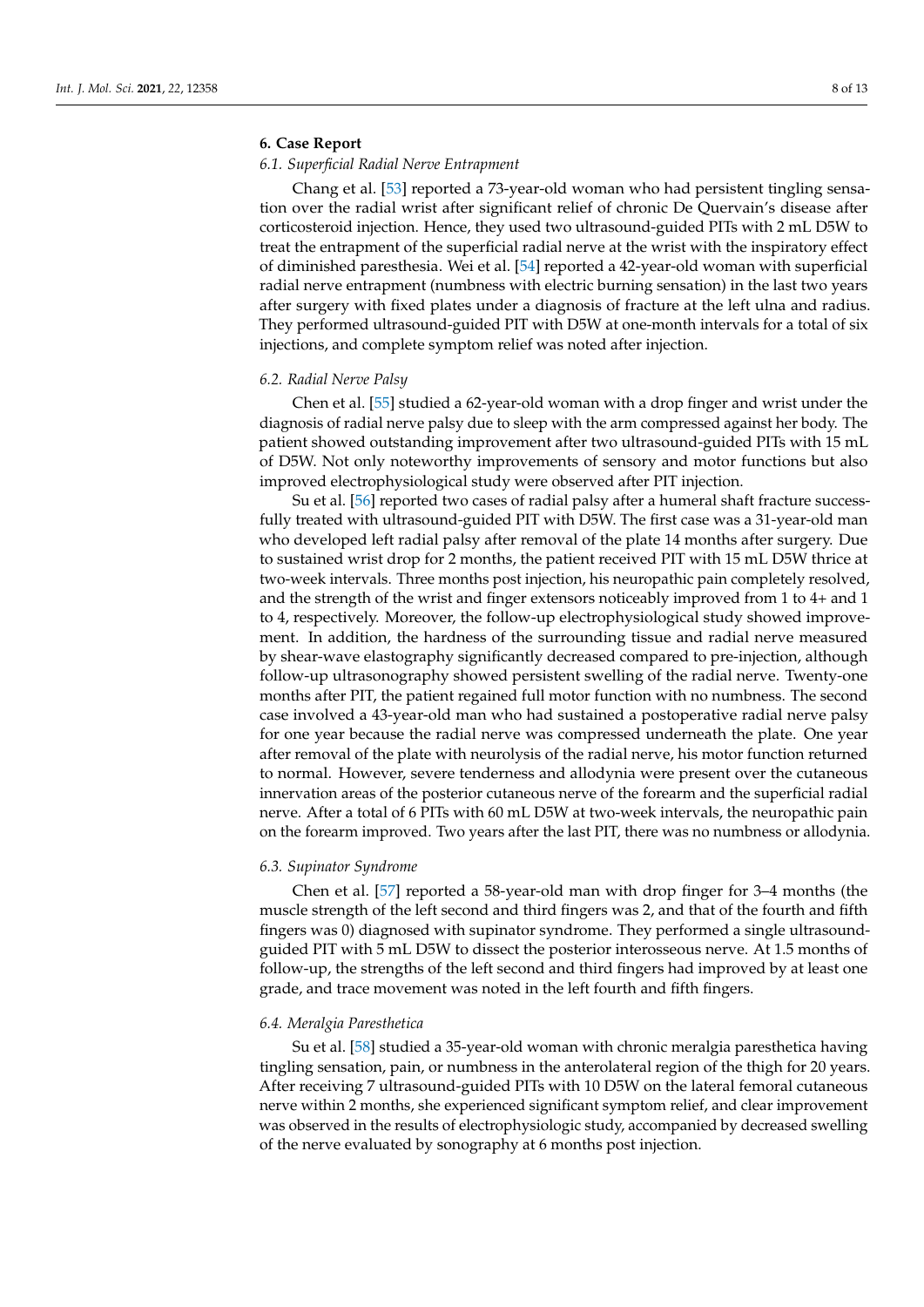# **6. Case Report**

# *6.1. Superficial Radial Nerve Entrapment*

Chang et al. [\[53\]](#page-11-19) reported a 73-year-old woman who had persistent tingling sensation over the radial wrist after significant relief of chronic De Quervain's disease after corticosteroid injection. Hence, they used two ultrasound-guided PITs with 2 mL D5W to treat the entrapment of the superficial radial nerve at the wrist with the inspiratory effect of diminished paresthesia. Wei et al. [\[54\]](#page-11-20) reported a 42-year-old woman with superficial radial nerve entrapment (numbness with electric burning sensation) in the last two years after surgery with fixed plates under a diagnosis of fracture at the left ulna and radius. They performed ultrasound-guided PIT with D5W at one-month intervals for a total of six injections, and complete symptom relief was noted after injection.

# *6.2. Radial Nerve Palsy*

Chen et al. [\[55\]](#page-11-21) studied a 62-year-old woman with a drop finger and wrist under the diagnosis of radial nerve palsy due to sleep with the arm compressed against her body. The patient showed outstanding improvement after two ultrasound-guided PITs with 15 mL of D5W. Not only noteworthy improvements of sensory and motor functions but also improved electrophysiological study were observed after PIT injection.

Su et al. [\[56\]](#page-11-22) reported two cases of radial palsy after a humeral shaft fracture successfully treated with ultrasound-guided PIT with D5W. The first case was a 31-year-old man who developed left radial palsy after removal of the plate 14 months after surgery. Due to sustained wrist drop for 2 months, the patient received PIT with 15 mL D5W thrice at two-week intervals. Three months post injection, his neuropathic pain completely resolved, and the strength of the wrist and finger extensors noticeably improved from 1 to 4+ and 1 to 4, respectively. Moreover, the follow-up electrophysiological study showed improvement. In addition, the hardness of the surrounding tissue and radial nerve measured by shear-wave elastography significantly decreased compared to pre-injection, although follow-up ultrasonography showed persistent swelling of the radial nerve. Twenty-one months after PIT, the patient regained full motor function with no numbness. The second case involved a 43-year-old man who had sustained a postoperative radial nerve palsy for one year because the radial nerve was compressed underneath the plate. One year after removal of the plate with neurolysis of the radial nerve, his motor function returned to normal. However, severe tenderness and allodynia were present over the cutaneous innervation areas of the posterior cutaneous nerve of the forearm and the superficial radial nerve. After a total of 6 PITs with 60 mL D5W at two-week intervals, the neuropathic pain on the forearm improved. Two years after the last PIT, there was no numbness or allodynia.

#### *6.3. Supinator Syndrome*

Chen et al. [\[57\]](#page-11-23) reported a 58-year-old man with drop finger for 3–4 months (the muscle strength of the left second and third fingers was 2, and that of the fourth and fifth fingers was 0) diagnosed with supinator syndrome. They performed a single ultrasoundguided PIT with 5 mL D5W to dissect the posterior interosseous nerve. At 1.5 months of follow-up, the strengths of the left second and third fingers had improved by at least one grade, and trace movement was noted in the left fourth and fifth fingers.

#### *6.4. Meralgia Paresthetica*

Su et al. [\[58\]](#page-11-24) studied a 35-year-old woman with chronic meralgia paresthetica having tingling sensation, pain, or numbness in the anterolateral region of the thigh for 20 years. After receiving 7 ultrasound-guided PITs with 10 D5W on the lateral femoral cutaneous nerve within 2 months, she experienced significant symptom relief, and clear improvement was observed in the results of electrophysiologic study, accompanied by decreased swelling of the nerve evaluated by sonography at 6 months post injection.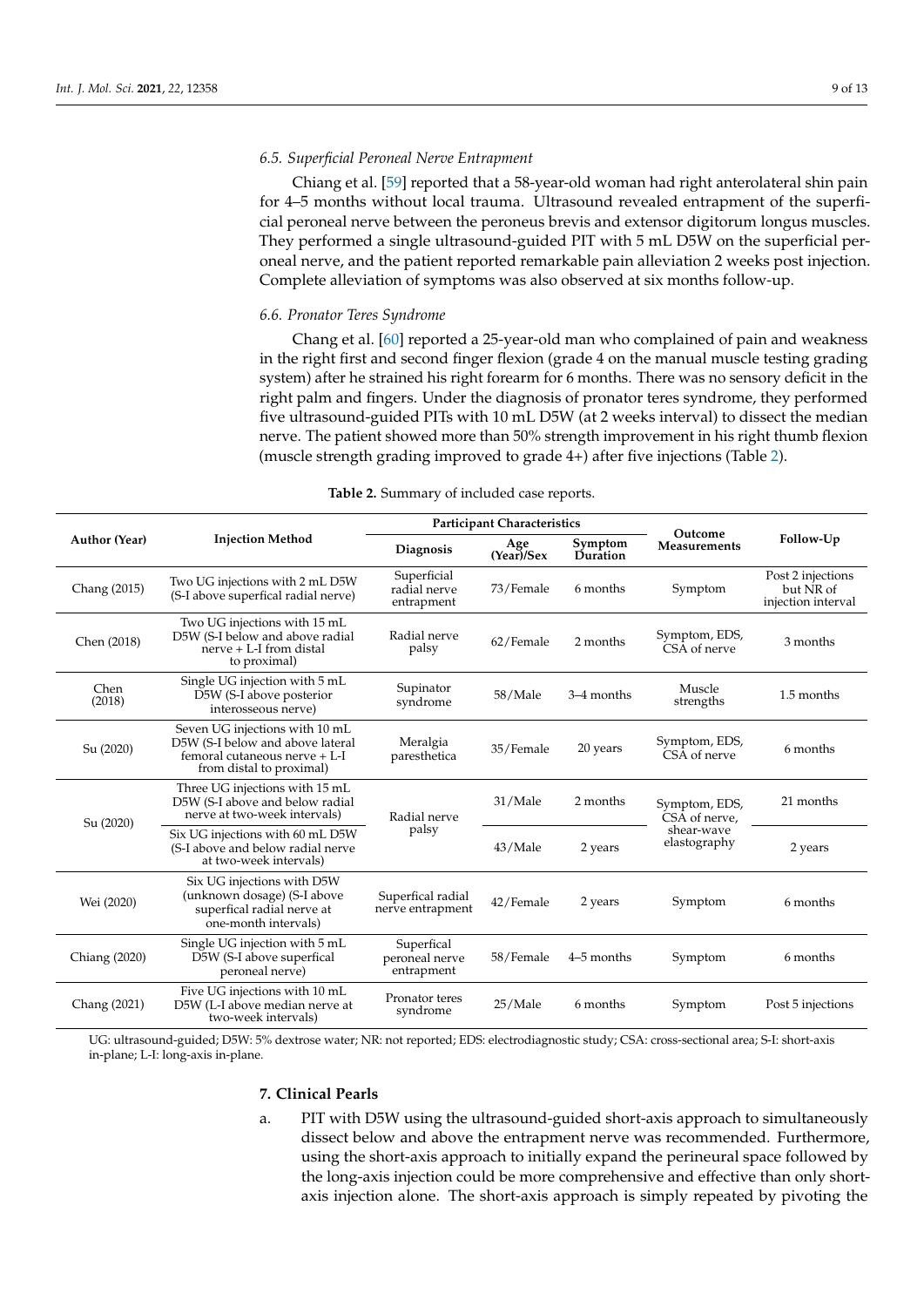# *6.5. Superficial Peroneal Nerve Entrapment*

Chiang et al. [\[59\]](#page-12-0) reported that a 58-year-old woman had right anterolateral shin pain for 4–5 months without local trauma. Ultrasound revealed entrapment of the superficial peroneal nerve between the peroneus brevis and extensor digitorum longus muscles. They performed a single ultrasound-guided PIT with 5 mL D5W on the superficial peroneal nerve, and the patient reported remarkable pain alleviation 2 weeks post injection. Complete alleviation of symptoms was also observed at six months follow-up.

#### *6.6. Pronator Teres Syndrome*

Chang et al. [\[60\]](#page-12-1) reported a 25-year-old man who complained of pain and weakness in the right first and second finger flexion (grade 4 on the manual muscle testing grading system) after he strained his right forearm for 6 months. There was no sensory deficit in the right palm and fingers. Under the diagnosis of pronator teres syndrome, they performed five ultrasound-guided PITs with 10 mL D5W (at 2 weeks interval) to dissect the median nerve. The patient showed more than 50% strength improvement in his right thumb flexion (muscle strength grading improved to grade 4+) after five injections (Table [2\)](#page-8-0).

<span id="page-8-0"></span>

|                                                                                                        |                                                                                                                                 |                                            | <b>Participant Characteristics</b> |                     |                                |                                                      |  |
|--------------------------------------------------------------------------------------------------------|---------------------------------------------------------------------------------------------------------------------------------|--------------------------------------------|------------------------------------|---------------------|--------------------------------|------------------------------------------------------|--|
| <b>Author (Year)</b>                                                                                   | <b>Injection Method</b>                                                                                                         | Diagnosis                                  | Age<br>(Year)/Sex                  | Symptom<br>Duration | Outcome<br>Measurements        | Follow-Up                                            |  |
| Chang (2015)                                                                                           | Two UG injections with 2 mL D5W<br>(S-I above superfical radial nerve)                                                          | Superficial<br>radial nerve<br>entrapment  | 73/Female                          | 6 months            | Symptom                        | Post 2 injections<br>but NR of<br>injection interval |  |
| Chen (2018)                                                                                            | Two UG injections with 15 mL<br>D5W (S-I below and above radial<br>nerve $+$ I.-I from distal<br>to proximal)                   | Radial nerve<br>palsy                      | 62/Female                          | 2 months            | Symptom, EDS,<br>CSA of nerve  | 3 months                                             |  |
| Chen<br>(2018)                                                                                         | Single UG injection with 5 mL<br>D5W (S-I above posterior<br>interosseous nerve)                                                | Supinator<br>syndrome                      | 58/Male                            | 3-4 months          | Muscle<br>strengths            | 1.5 months                                           |  |
| Su (2020)                                                                                              | Seven UG injections with 10 mL<br>D5W (S-I below and above lateral<br>femoral cutaneous nerve + L-I<br>from distal to proximal) | Meralgia<br>paresthetica                   | 35/Female                          | 20 years            | Symptom, EDS,<br>CSA of nerve  | 6 months                                             |  |
| Su (2020)                                                                                              | Three UG injections with 15 mL<br>D5W (S-I above and below radial<br>nerve at two-week intervals)                               | Radial nerve<br>palsy                      | 31/Male                            | 2 months            | Symptom, EDS,<br>CSA of nerve, | 21 months                                            |  |
|                                                                                                        | Six UG injections with 60 mL D5W<br>(S-I above and below radial nerve<br>at two-week intervals)                                 |                                            | 43/Male                            | 2 years             | shear-wave<br>elastography     | 2 years                                              |  |
| Wei (2020)                                                                                             | Six UG injections with D5W<br>(unknown dosage) (S-I above<br>superfical radial nerve at<br>one-month intervals)                 | Superfical radial<br>nerve entrapment      | 42/Female                          | 2 years             | Symptom                        | 6 months                                             |  |
| Chiang (2020)                                                                                          | Single UG injection with 5 mL<br>D5W (S-I above superfical<br>peroneal nerve)                                                   | Superfical<br>peroneal nerve<br>entrapment | 58/Female                          | 4–5 months          | Symptom                        | 6 months                                             |  |
| Five UG injections with 10 mL<br>Chang (2021)<br>D5W (L-I above median nerve at<br>two-week intervals) |                                                                                                                                 | Pronator teres<br>syndrome                 | 25/Male                            | 6 months            | Symptom                        | Post 5 injections                                    |  |

**Table 2.** Summary of included case reports.

UG: ultrasound-guided; D5W: 5% dextrose water; NR: not reported; EDS: electrodiagnostic study; CSA: cross-sectional area; S-I: short-axis in-plane; L-I: long-axis in-plane.

# **7. Clinical Pearls**

a. PIT with D5W using the ultrasound-guided short-axis approach to simultaneously dissect below and above the entrapment nerve was recommended. Furthermore, using the short-axis approach to initially expand the perineural space followed by the long-axis injection could be more comprehensive and effective than only shortaxis injection alone. The short-axis approach is simply repeated by pivoting the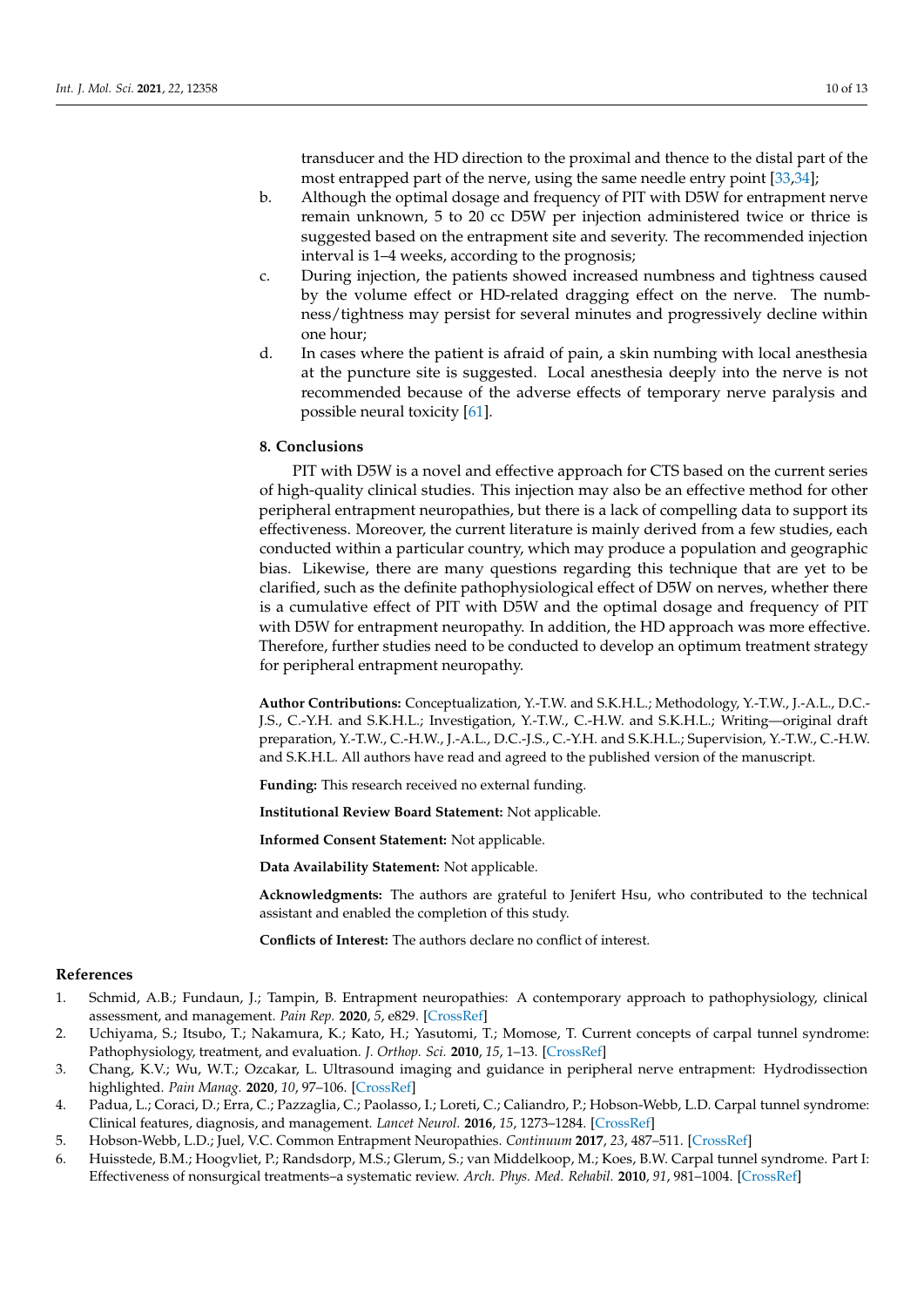transducer and the HD direction to the proximal and thence to the distal part of the most entrapped part of the nerve, using the same needle entry point [\[33,](#page-11-0)[34\]](#page-11-1);

- b. Although the optimal dosage and frequency of PIT with D5W for entrapment nerve remain unknown, 5 to 20 cc D5W per injection administered twice or thrice is suggested based on the entrapment site and severity. The recommended injection interval is 1–4 weeks, according to the prognosis;
- c. During injection, the patients showed increased numbness and tightness caused by the volume effect or HD-related dragging effect on the nerve. The numbness/tightness may persist for several minutes and progressively decline within one hour;
- d. In cases where the patient is afraid of pain, a skin numbing with local anesthesia at the puncture site is suggested. Local anesthesia deeply into the nerve is not recommended because of the adverse effects of temporary nerve paralysis and possible neural toxicity [\[61\]](#page-12-2).

#### **8. Conclusions**

PIT with D5W is a novel and effective approach for CTS based on the current series of high-quality clinical studies. This injection may also be an effective method for other peripheral entrapment neuropathies, but there is a lack of compelling data to support its effectiveness. Moreover, the current literature is mainly derived from a few studies, each conducted within a particular country, which may produce a population and geographic bias. Likewise, there are many questions regarding this technique that are yet to be clarified, such as the definite pathophysiological effect of D5W on nerves, whether there is a cumulative effect of PIT with D5W and the optimal dosage and frequency of PIT with D5W for entrapment neuropathy. In addition, the HD approach was more effective. Therefore, further studies need to be conducted to develop an optimum treatment strategy for peripheral entrapment neuropathy.

**Author Contributions:** Conceptualization, Y.-T.W. and S.K.H.L.; Methodology, Y.-T.W., J.-A.L., D.C.- J.S., C.-Y.H. and S.K.H.L.; Investigation, Y.-T.W., C.-H.W. and S.K.H.L.; Writing—original draft preparation, Y.-T.W., C.-H.W., J.-A.L., D.C.-J.S., C.-Y.H. and S.K.H.L.; Supervision, Y.-T.W., C.-H.W. and S.K.H.L. All authors have read and agreed to the published version of the manuscript.

**Funding:** This research received no external funding.

**Institutional Review Board Statement:** Not applicable.

**Informed Consent Statement:** Not applicable.

**Data Availability Statement:** Not applicable.

**Acknowledgments:** The authors are grateful to Jenifert Hsu, who contributed to the technical assistant and enabled the completion of this study.

**Conflicts of Interest:** The authors declare no conflict of interest.

# **References**

- <span id="page-9-0"></span>1. Schmid, A.B.; Fundaun, J.; Tampin, B. Entrapment neuropathies: A contemporary approach to pathophysiology, clinical assessment, and management. *Pain Rep.* **2020**, *5*, e829. [\[CrossRef\]](http://doi.org/10.1097/PR9.0000000000000829)
- <span id="page-9-1"></span>2. Uchiyama, S.; Itsubo, T.; Nakamura, K.; Kato, H.; Yasutomi, T.; Momose, T. Current concepts of carpal tunnel syndrome: Pathophysiology, treatment, and evaluation. *J. Orthop. Sci.* **2010**, *15*, 1–13. [\[CrossRef\]](http://doi.org/10.1007/s00776-009-1416-x)
- 3. Chang, K.V.; Wu, W.T.; Ozcakar, L. Ultrasound imaging and guidance in peripheral nerve entrapment: Hydrodissection highlighted. *Pain Manag.* **2020**, *10*, 97–106. [\[CrossRef\]](http://doi.org/10.2217/pmt-2019-0056)
- <span id="page-9-2"></span>4. Padua, L.; Coraci, D.; Erra, C.; Pazzaglia, C.; Paolasso, I.; Loreti, C.; Caliandro, P.; Hobson-Webb, L.D. Carpal tunnel syndrome: Clinical features, diagnosis, and management. *Lancet Neurol.* **2016**, *15*, 1273–1284. [\[CrossRef\]](http://doi.org/10.1016/S1474-4422(16)30231-9)
- <span id="page-9-3"></span>5. Hobson-Webb, L.D.; Juel, V.C. Common Entrapment Neuropathies. *Continuum* **2017**, *23*, 487–511. [\[CrossRef\]](http://doi.org/10.1212/CON.0000000000000452)
- <span id="page-9-4"></span>6. Huisstede, B.M.; Hoogvliet, P.; Randsdorp, M.S.; Glerum, S.; van Middelkoop, M.; Koes, B.W. Carpal tunnel syndrome. Part I: Effectiveness of nonsurgical treatments–a systematic review. *Arch. Phys. Med. Rehabil.* **2010**, *91*, 981–1004. [\[CrossRef\]](http://doi.org/10.1016/j.apmr.2010.03.022)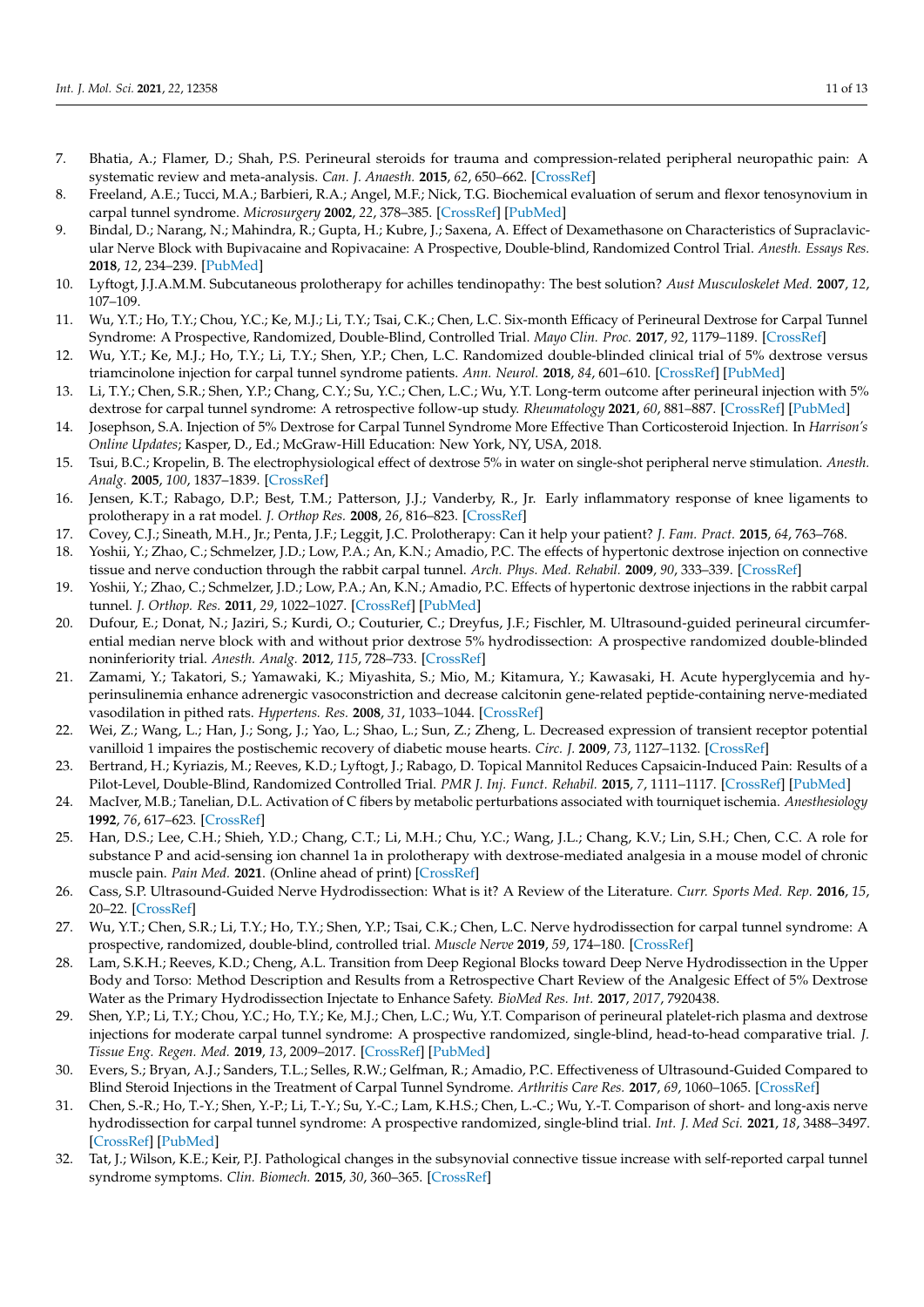- <span id="page-10-0"></span>7. Bhatia, A.; Flamer, D.; Shah, P.S. Perineural steroids for trauma and compression-related peripheral neuropathic pain: A systematic review and meta-analysis. *Can. J. Anaesth.* **2015**, *62*, 650–662. [\[CrossRef\]](http://doi.org/10.1007/s12630-015-0356-5)
- <span id="page-10-1"></span>8. Freeland, A.E.; Tucci, M.A.; Barbieri, R.A.; Angel, M.F.; Nick, T.G. Biochemical evaluation of serum and flexor tenosynovium in carpal tunnel syndrome. *Microsurgery* **2002**, *22*, 378–385. [\[CrossRef\]](http://doi.org/10.1002/micr.10065) [\[PubMed\]](http://www.ncbi.nlm.nih.gov/pubmed/12497576)
- <span id="page-10-2"></span>9. Bindal, D.; Narang, N.; Mahindra, R.; Gupta, H.; Kubre, J.; Saxena, A. Effect of Dexamethasone on Characteristics of Supraclavicular Nerve Block with Bupivacaine and Ropivacaine: A Prospective, Double-blind, Randomized Control Trial. *Anesth. Essays Res.* **2018**, *12*, 234–239. [\[PubMed\]](http://www.ncbi.nlm.nih.gov/pubmed/29628588)
- <span id="page-10-3"></span>10. Lyftogt, J.J.A.M.M. Subcutaneous prolotherapy for achilles tendinopathy: The best solution? *Aust Musculoskelet Med.* **2007**, *12*, 107–109.
- <span id="page-10-4"></span>11. Wu, Y.T.; Ho, T.Y.; Chou, Y.C.; Ke, M.J.; Li, T.Y.; Tsai, C.K.; Chen, L.C. Six-month Efficacy of Perineural Dextrose for Carpal Tunnel Syndrome: A Prospective, Randomized, Double-Blind, Controlled Trial. *Mayo Clin. Proc.* **2017**, *92*, 1179–1189. [\[CrossRef\]](http://doi.org/10.1016/j.mayocp.2017.05.025)
- <span id="page-10-24"></span>12. Wu, Y.T.; Ke, M.J.; Ho, T.Y.; Li, T.Y.; Shen, Y.P.; Chen, L.C. Randomized double-blinded clinical trial of 5% dextrose versus triamcinolone injection for carpal tunnel syndrome patients. *Ann. Neurol.* **2018**, *84*, 601–610. [\[CrossRef\]](http://doi.org/10.1002/ana.25332) [\[PubMed\]](http://www.ncbi.nlm.nih.gov/pubmed/30187524)
- <span id="page-10-5"></span>13. Li, T.Y.; Chen, S.R.; Shen, Y.P.; Chang, C.Y.; Su, Y.C.; Chen, L.C.; Wu, Y.T. Long-term outcome after perineural injection with 5% dextrose for carpal tunnel syndrome: A retrospective follow-up study. *Rheumatology* **2021**, *60*, 881–887. [\[CrossRef\]](http://doi.org/10.1093/rheumatology/keaa361) [\[PubMed\]](http://www.ncbi.nlm.nih.gov/pubmed/32856082)
- <span id="page-10-6"></span>14. Josephson, S.A. Injection of 5% Dextrose for Carpal Tunnel Syndrome More Effective Than Corticosteroid Injection. In *Harrison's Online Updates*; Kasper, D., Ed.; McGraw-Hill Education: New York, NY, USA, 2018.
- <span id="page-10-7"></span>15. Tsui, B.C.; Kropelin, B. The electrophysiological effect of dextrose 5% in water on single-shot peripheral nerve stimulation. *Anesth. Analg.* **2005**, *100*, 1837–1839. [\[CrossRef\]](http://doi.org/10.1213/01.ANE.0000153020.84780.A5)
- <span id="page-10-8"></span>16. Jensen, K.T.; Rabago, D.P.; Best, T.M.; Patterson, J.J.; Vanderby, R., Jr. Early inflammatory response of knee ligaments to prolotherapy in a rat model. *J. Orthop Res.* **2008**, *26*, 816–823. [\[CrossRef\]](http://doi.org/10.1002/jor.20600)
- <span id="page-10-9"></span>17. Covey, C.J.; Sineath, M.H., Jr.; Penta, J.F.; Leggit, J.C. Prolotherapy: Can it help your patient? *J. Fam. Pract.* **2015**, *64*, 763–768.
- <span id="page-10-10"></span>18. Yoshii, Y.; Zhao, C.; Schmelzer, J.D.; Low, P.A.; An, K.N.; Amadio, P.C. The effects of hypertonic dextrose injection on connective tissue and nerve conduction through the rabbit carpal tunnel. *Arch. Phys. Med. Rehabil.* **2009**, *90*, 333–339. [\[CrossRef\]](http://doi.org/10.1016/j.apmr.2008.07.028)
- <span id="page-10-11"></span>19. Yoshii, Y.; Zhao, C.; Schmelzer, J.D.; Low, P.A.; An, K.N.; Amadio, P.C. Effects of hypertonic dextrose injections in the rabbit carpal tunnel. *J. Orthop. Res.* **2011**, *29*, 1022–1027. [\[CrossRef\]](http://doi.org/10.1002/jor.21297) [\[PubMed\]](http://www.ncbi.nlm.nih.gov/pubmed/21246610)
- <span id="page-10-12"></span>20. Dufour, E.; Donat, N.; Jaziri, S.; Kurdi, O.; Couturier, C.; Dreyfus, J.F.; Fischler, M. Ultrasound-guided perineural circumferential median nerve block with and without prior dextrose 5% hydrodissection: A prospective randomized double-blinded noninferiority trial. *Anesth. Analg.* **2012**, *115*, 728–733. [\[CrossRef\]](http://doi.org/10.1213/ANE.0b013e31825fa37d)
- <span id="page-10-13"></span>21. Zamami, Y.; Takatori, S.; Yamawaki, K.; Miyashita, S.; Mio, M.; Kitamura, Y.; Kawasaki, H. Acute hyperglycemia and hyperinsulinemia enhance adrenergic vasoconstriction and decrease calcitonin gene-related peptide-containing nerve-mediated vasodilation in pithed rats. *Hypertens. Res.* **2008**, *31*, 1033–1044. [\[CrossRef\]](http://doi.org/10.1291/hypres.31.1033)
- 22. Wei, Z.; Wang, L.; Han, J.; Song, J.; Yao, L.; Shao, L.; Sun, Z.; Zheng, L. Decreased expression of transient receptor potential vanilloid 1 impaires the postischemic recovery of diabetic mouse hearts. *Circ. J.* **2009**, *73*, 1127–1132. [\[CrossRef\]](http://doi.org/10.1253/circj.CJ-08-0945)
- <span id="page-10-14"></span>23. Bertrand, H.; Kyriazis, M.; Reeves, K.D.; Lyftogt, J.; Rabago, D. Topical Mannitol Reduces Capsaicin-Induced Pain: Results of a Pilot-Level, Double-Blind, Randomized Controlled Trial. *PMR J. Inj. Funct. Rehabil.* **2015**, *7*, 1111–1117. [\[CrossRef\]](http://doi.org/10.1016/j.pmrj.2015.05.002) [\[PubMed\]](http://www.ncbi.nlm.nih.gov/pubmed/25978942)
- <span id="page-10-15"></span>24. MacIver, M.B.; Tanelian, D.L. Activation of C fibers by metabolic perturbations associated with tourniquet ischemia. *Anesthesiology* **1992**, *76*, 617–623. [\[CrossRef\]](http://doi.org/10.1097/00000542-199204000-00020)
- <span id="page-10-16"></span>25. Han, D.S.; Lee, C.H.; Shieh, Y.D.; Chang, C.T.; Li, M.H.; Chu, Y.C.; Wang, J.L.; Chang, K.V.; Lin, S.H.; Chen, C.C. A role for substance P and acid-sensing ion channel 1a in prolotherapy with dextrose-mediated analgesia in a mouse model of chronic muscle pain. *Pain Med.* **2021**. (Online ahead of print) [\[CrossRef\]](http://doi.org/10.1097/j.pain.0000000000002440)
- <span id="page-10-17"></span>26. Cass, S.P. Ultrasound-Guided Nerve Hydrodissection: What is it? A Review of the Literature. *Curr. Sports Med. Rep.* **2016**, *15*, 20–22. [\[CrossRef\]](http://doi.org/10.1249/JSR.0000000000000226)
- <span id="page-10-19"></span>27. Wu, Y.T.; Chen, S.R.; Li, T.Y.; Ho, T.Y.; Shen, Y.P.; Tsai, C.K.; Chen, L.C. Nerve hydrodissection for carpal tunnel syndrome: A prospective, randomized, double-blind, controlled trial. *Muscle Nerve* **2019**, *59*, 174–180. [\[CrossRef\]](http://doi.org/10.1002/mus.26358)
- <span id="page-10-18"></span>28. Lam, S.K.H.; Reeves, K.D.; Cheng, A.L. Transition from Deep Regional Blocks toward Deep Nerve Hydrodissection in the Upper Body and Torso: Method Description and Results from a Retrospective Chart Review of the Analgesic Effect of 5% Dextrose Water as the Primary Hydrodissection Injectate to Enhance Safety. *BioMed Res. Int.* **2017**, *2017*, 7920438.
- <span id="page-10-20"></span>29. Shen, Y.P.; Li, T.Y.; Chou, Y.C.; Ho, T.Y.; Ke, M.J.; Chen, L.C.; Wu, Y.T. Comparison of perineural platelet-rich plasma and dextrose injections for moderate carpal tunnel syndrome: A prospective randomized, single-blind, head-to-head comparative trial. *J. Tissue Eng. Regen. Med.* **2019**, *13*, 2009–2017. [\[CrossRef\]](http://doi.org/10.1002/term.2950) [\[PubMed\]](http://www.ncbi.nlm.nih.gov/pubmed/31368191)
- <span id="page-10-21"></span>30. Evers, S.; Bryan, A.J.; Sanders, T.L.; Selles, R.W.; Gelfman, R.; Amadio, P.C. Effectiveness of Ultrasound-Guided Compared to Blind Steroid Injections in the Treatment of Carpal Tunnel Syndrome. *Arthritis Care Res.* **2017**, *69*, 1060–1065. [\[CrossRef\]](http://doi.org/10.1002/acr.23108)
- <span id="page-10-22"></span>31. Chen, S.-R.; Ho, T.-Y.; Shen, Y.-P.; Li, T.-Y.; Su, Y.-C.; Lam, K.H.S.; Chen, L.-C.; Wu, Y.-T. Comparison of short- and long-axis nerve hydrodissection for carpal tunnel syndrome: A prospective randomized, single-blind trial. *Int. J. Med Sci.* **2021**, *18*, 3488–3497. [\[CrossRef\]](http://doi.org/10.7150/ijms.63815) [\[PubMed\]](http://www.ncbi.nlm.nih.gov/pubmed/34522175)
- <span id="page-10-23"></span>32. Tat, J.; Wilson, K.E.; Keir, P.J. Pathological changes in the subsynovial connective tissue increase with self-reported carpal tunnel syndrome symptoms. *Clin. Biomech.* **2015**, *30*, 360–365. [\[CrossRef\]](http://doi.org/10.1016/j.clinbiomech.2015.02.015)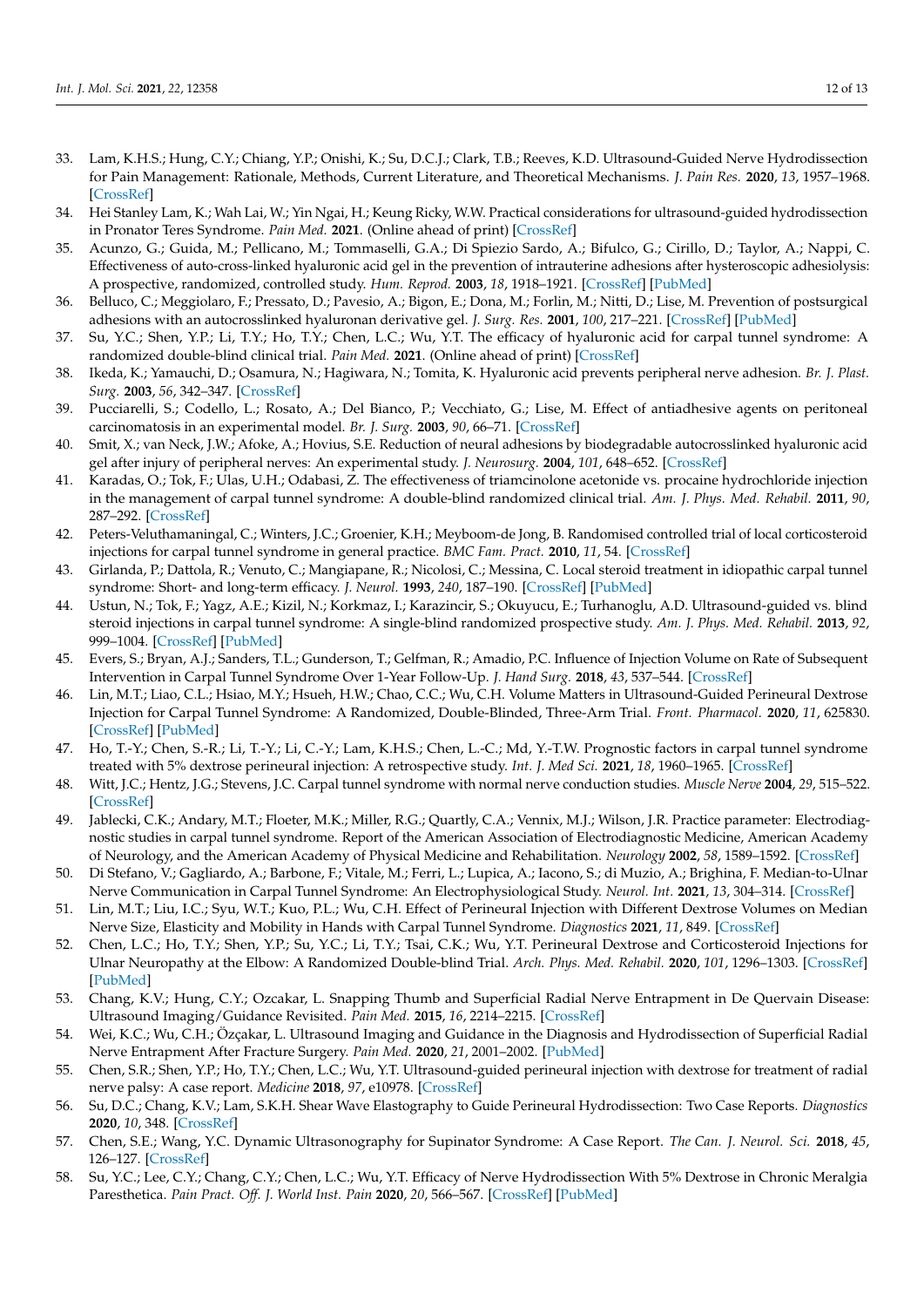- <span id="page-11-0"></span>33. Lam, K.H.S.; Hung, C.Y.; Chiang, Y.P.; Onishi, K.; Su, D.C.J.; Clark, T.B.; Reeves, K.D. Ultrasound-Guided Nerve Hydrodissection for Pain Management: Rationale, Methods, Current Literature, and Theoretical Mechanisms. *J. Pain Res.* **2020**, *13*, 1957–1968. [\[CrossRef\]](http://doi.org/10.2147/JPR.S247208)
- <span id="page-11-1"></span>34. Hei Stanley Lam, K.; Wah Lai, W.; Yin Ngai, H.; Keung Ricky, W.W. Practical considerations for ultrasound-guided hydrodissection in Pronator Teres Syndrome. *Pain Med.* **2021**. (Online ahead of print) [\[CrossRef\]](http://doi.org/10.1093/pm/pnab277)
- <span id="page-11-2"></span>35. Acunzo, G.; Guida, M.; Pellicano, M.; Tommaselli, G.A.; Di Spiezio Sardo, A.; Bifulco, G.; Cirillo, D.; Taylor, A.; Nappi, C. Effectiveness of auto-cross-linked hyaluronic acid gel in the prevention of intrauterine adhesions after hysteroscopic adhesiolysis: A prospective, randomized, controlled study. *Hum. Reprod.* **2003**, *18*, 1918–1921. [\[CrossRef\]](http://doi.org/10.1093/humrep/deg368) [\[PubMed\]](http://www.ncbi.nlm.nih.gov/pubmed/12923149)
- <span id="page-11-3"></span>36. Belluco, C.; Meggiolaro, F.; Pressato, D.; Pavesio, A.; Bigon, E.; Dona, M.; Forlin, M.; Nitti, D.; Lise, M. Prevention of postsurgical adhesions with an autocrosslinked hyaluronan derivative gel. *J. Surg. Res.* **2001**, *100*, 217–221. [\[CrossRef\]](http://doi.org/10.1006/jsre.2001.6248) [\[PubMed\]](http://www.ncbi.nlm.nih.gov/pubmed/11592796)
- <span id="page-11-4"></span>37. Su, Y.C.; Shen, Y.P.; Li, T.Y.; Ho, T.Y.; Chen, L.C.; Wu, Y.T. The efficacy of hyaluronic acid for carpal tunnel syndrome: A randomized double-blind clinical trial. *Pain Med.* **2021**. (Online ahead of print) [\[CrossRef\]](http://doi.org/10.1093/pm/pnab109)
- <span id="page-11-5"></span>38. Ikeda, K.; Yamauchi, D.; Osamura, N.; Hagiwara, N.; Tomita, K. Hyaluronic acid prevents peripheral nerve adhesion. *Br. J. Plast. Surg.* **2003**, *56*, 342–347. [\[CrossRef\]](http://doi.org/10.1016/S0007-1226(03)00197-8)
- 39. Pucciarelli, S.; Codello, L.; Rosato, A.; Del Bianco, P.; Vecchiato, G.; Lise, M. Effect of antiadhesive agents on peritoneal carcinomatosis in an experimental model. *Br. J. Surg.* **2003**, *90*, 66–71. [\[CrossRef\]](http://doi.org/10.1002/bjs.4006)
- <span id="page-11-6"></span>40. Smit, X.; van Neck, J.W.; Afoke, A.; Hovius, S.E. Reduction of neural adhesions by biodegradable autocrosslinked hyaluronic acid gel after injury of peripheral nerves: An experimental study. *J. Neurosurg.* **2004**, *101*, 648–652. [\[CrossRef\]](http://doi.org/10.3171/jns.2004.101.4.0648)
- <span id="page-11-7"></span>41. Karadas, O.; Tok, F.; Ulas, U.H.; Odabasi, Z. The effectiveness of triamcinolone acetonide vs. procaine hydrochloride injection in the management of carpal tunnel syndrome: A double-blind randomized clinical trial. *Am. J. Phys. Med. Rehabil.* **2011**, *90*, 287–292. [\[CrossRef\]](http://doi.org/10.1097/PHM.0b013e31820639ec)
- <span id="page-11-8"></span>42. Peters-Veluthamaningal, C.; Winters, J.C.; Groenier, K.H.; Meyboom-de Jong, B. Randomised controlled trial of local corticosteroid injections for carpal tunnel syndrome in general practice. *BMC Fam. Pract.* **2010**, *11*, 54. [\[CrossRef\]](http://doi.org/10.1186/1471-2296-11-54)
- <span id="page-11-9"></span>43. Girlanda, P.; Dattola, R.; Venuto, C.; Mangiapane, R.; Nicolosi, C.; Messina, C. Local steroid treatment in idiopathic carpal tunnel syndrome: Short- and long-term efficacy. *J. Neurol.* **1993**, *240*, 187–190. [\[CrossRef\]](http://doi.org/10.1007/BF00857526) [\[PubMed\]](http://www.ncbi.nlm.nih.gov/pubmed/8482993)
- <span id="page-11-10"></span>44. Ustun, N.; Tok, F.; Yagz, A.E.; Kizil, N.; Korkmaz, I.; Karazincir, S.; Okuyucu, E.; Turhanoglu, A.D. Ultrasound-guided vs. blind steroid injections in carpal tunnel syndrome: A single-blind randomized prospective study. *Am. J. Phys. Med. Rehabil.* **2013**, *92*, 999–1004. [\[CrossRef\]](http://doi.org/10.1097/PHM.0b013e31829b4d72) [\[PubMed\]](http://www.ncbi.nlm.nih.gov/pubmed/23811617)
- <span id="page-11-11"></span>45. Evers, S.; Bryan, A.J.; Sanders, T.L.; Gunderson, T.; Gelfman, R.; Amadio, P.C. Influence of Injection Volume on Rate of Subsequent Intervention in Carpal Tunnel Syndrome Over 1-Year Follow-Up. *J. Hand Surg.* **2018**, *43*, 537–544. [\[CrossRef\]](http://doi.org/10.1016/j.jhsa.2018.02.024)
- <span id="page-11-12"></span>46. Lin, M.T.; Liao, C.L.; Hsiao, M.Y.; Hsueh, H.W.; Chao, C.C.; Wu, C.H. Volume Matters in Ultrasound-Guided Perineural Dextrose Injection for Carpal Tunnel Syndrome: A Randomized, Double-Blinded, Three-Arm Trial. *Front. Pharmacol.* **2020**, *11*, 625830. [\[CrossRef\]](http://doi.org/10.3389/fphar.2020.625830) [\[PubMed\]](http://www.ncbi.nlm.nih.gov/pubmed/33391002)
- <span id="page-11-13"></span>47. Ho, T.-Y.; Chen, S.-R.; Li, T.-Y.; Li, C.-Y.; Lam, K.H.S.; Chen, L.-C.; Md, Y.-T.W. Prognostic factors in carpal tunnel syndrome treated with 5% dextrose perineural injection: A retrospective study. *Int. J. Med Sci.* **2021**, *18*, 1960–1965. [\[CrossRef\]](http://doi.org/10.7150/ijms.56142)
- <span id="page-11-14"></span>48. Witt, J.C.; Hentz, J.G.; Stevens, J.C. Carpal tunnel syndrome with normal nerve conduction studies. *Muscle Nerve* **2004**, *29*, 515–522. [\[CrossRef\]](http://doi.org/10.1002/mus.20019)
- <span id="page-11-15"></span>49. Jablecki, C.K.; Andary, M.T.; Floeter, M.K.; Miller, R.G.; Quartly, C.A.; Vennix, M.J.; Wilson, J.R. Practice parameter: Electrodiagnostic studies in carpal tunnel syndrome. Report of the American Association of Electrodiagnostic Medicine, American Academy of Neurology, and the American Academy of Physical Medicine and Rehabilitation. *Neurology* **2002**, *58*, 1589–1592. [\[CrossRef\]](http://doi.org/10.1212/WNL.58.11.1589)
- <span id="page-11-16"></span>50. Di Stefano, V.; Gagliardo, A.; Barbone, F.; Vitale, M.; Ferri, L.; Lupica, A.; Iacono, S.; di Muzio, A.; Brighina, F. Median-to-Ulnar Nerve Communication in Carpal Tunnel Syndrome: An Electrophysiological Study. *Neurol. Int.* **2021**, *13*, 304–314. [\[CrossRef\]](http://doi.org/10.3390/neurolint13030031)
- <span id="page-11-17"></span>51. Lin, M.T.; Liu, I.C.; Syu, W.T.; Kuo, P.L.; Wu, C.H. Effect of Perineural Injection with Different Dextrose Volumes on Median Nerve Size, Elasticity and Mobility in Hands with Carpal Tunnel Syndrome. *Diagnostics* **2021**, *11*, 849. [\[CrossRef\]](http://doi.org/10.3390/diagnostics11050849)
- <span id="page-11-18"></span>52. Chen, L.C.; Ho, T.Y.; Shen, Y.P.; Su, Y.C.; Li, T.Y.; Tsai, C.K.; Wu, Y.T. Perineural Dextrose and Corticosteroid Injections for Ulnar Neuropathy at the Elbow: A Randomized Double-blind Trial. *Arch. Phys. Med. Rehabil.* **2020**, *101*, 1296–1303. [\[CrossRef\]](http://doi.org/10.1016/j.apmr.2020.03.016) [\[PubMed\]](http://www.ncbi.nlm.nih.gov/pubmed/32325164)
- <span id="page-11-19"></span>53. Chang, K.V.; Hung, C.Y.; Ozcakar, L. Snapping Thumb and Superficial Radial Nerve Entrapment in De Quervain Disease: Ultrasound Imaging/Guidance Revisited. *Pain Med.* **2015**, *16*, 2214–2215. [\[CrossRef\]](http://doi.org/10.1111/pme.12867)
- <span id="page-11-20"></span>54. Wei, K.C.; Wu, C.H.; Özçakar, L. Ultrasound Imaging and Guidance in the Diagnosis and Hydrodissection of Superficial Radial Nerve Entrapment After Fracture Surgery. *Pain Med.* **2020**, *21*, 2001–2002. [\[PubMed\]](http://www.ncbi.nlm.nih.gov/pubmed/34081144)
- <span id="page-11-21"></span>55. Chen, S.R.; Shen, Y.P.; Ho, T.Y.; Chen, L.C.; Wu, Y.T. Ultrasound-guided perineural injection with dextrose for treatment of radial nerve palsy: A case report. *Medicine* **2018**, *97*, e10978. [\[CrossRef\]](http://doi.org/10.1097/MD.0000000000010978)
- <span id="page-11-22"></span>56. Su, D.C.; Chang, K.V.; Lam, S.K.H. Shear Wave Elastography to Guide Perineural Hydrodissection: Two Case Reports. *Diagnostics* **2020**, *10*, 348. [\[CrossRef\]](http://doi.org/10.3390/diagnostics10060348)
- <span id="page-11-23"></span>57. Chen, S.E.; Wang, Y.C. Dynamic Ultrasonography for Supinator Syndrome: A Case Report. *The Can. J. Neurol. Sci.* **2018**, *45*, 126–127. [\[CrossRef\]](http://doi.org/10.1017/cjn.2017.272)
- <span id="page-11-24"></span>58. Su, Y.C.; Lee, C.Y.; Chang, C.Y.; Chen, L.C.; Wu, Y.T. Efficacy of Nerve Hydrodissection With 5% Dextrose in Chronic Meralgia Paresthetica. *Pain Pract. Off. J. World Inst. Pain* **2020**, *20*, 566–567. [\[CrossRef\]](http://doi.org/10.1111/papr.12870) [\[PubMed\]](http://www.ncbi.nlm.nih.gov/pubmed/31885138)